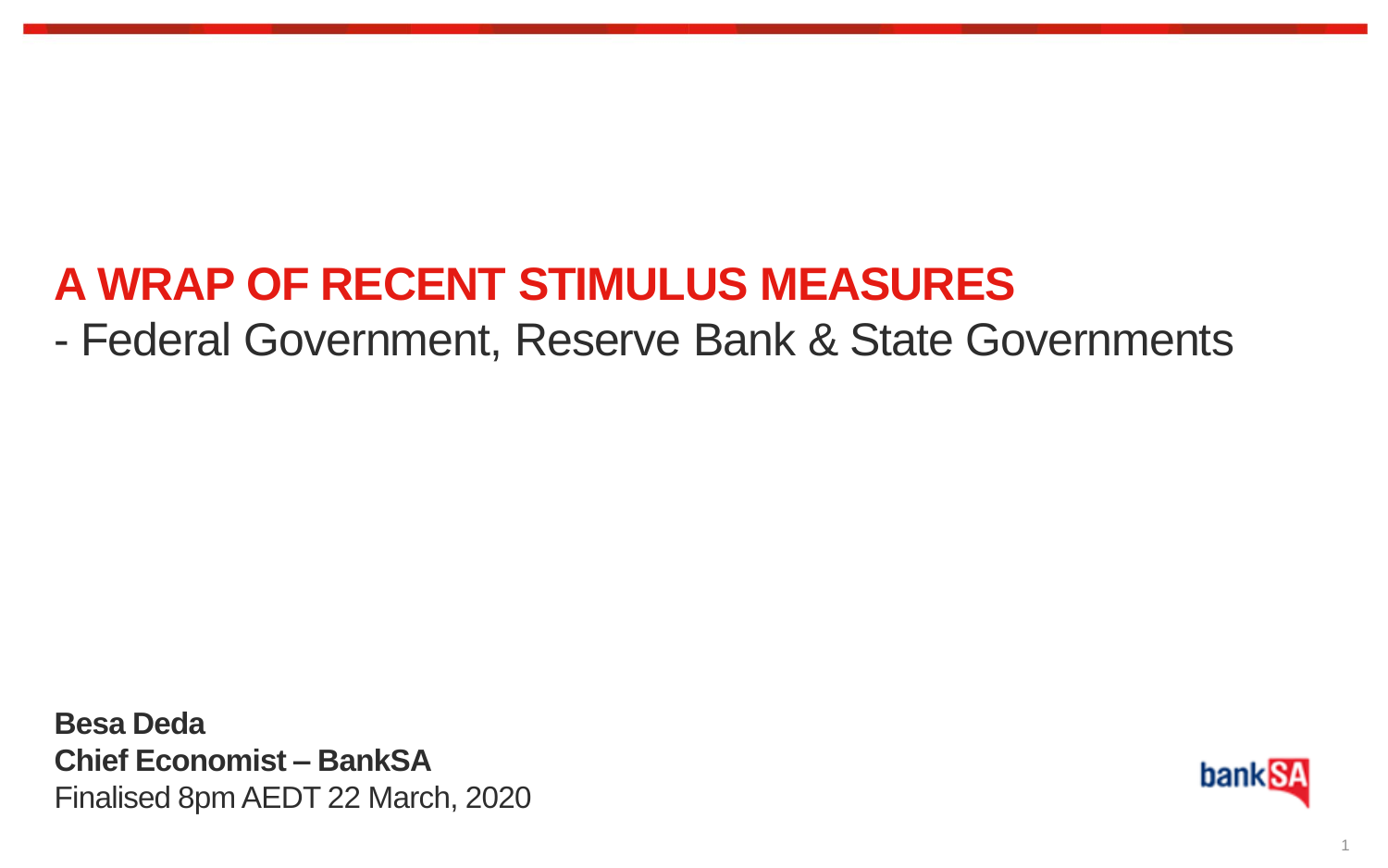# **A WRAP OF RECENT STIMULUS MEASURES**

## - Federal Government, Reserve Bank & State Governments

**Besa Deda Chief Economist – BankSA** Finalised 8pm AEDT 22 March, 2020

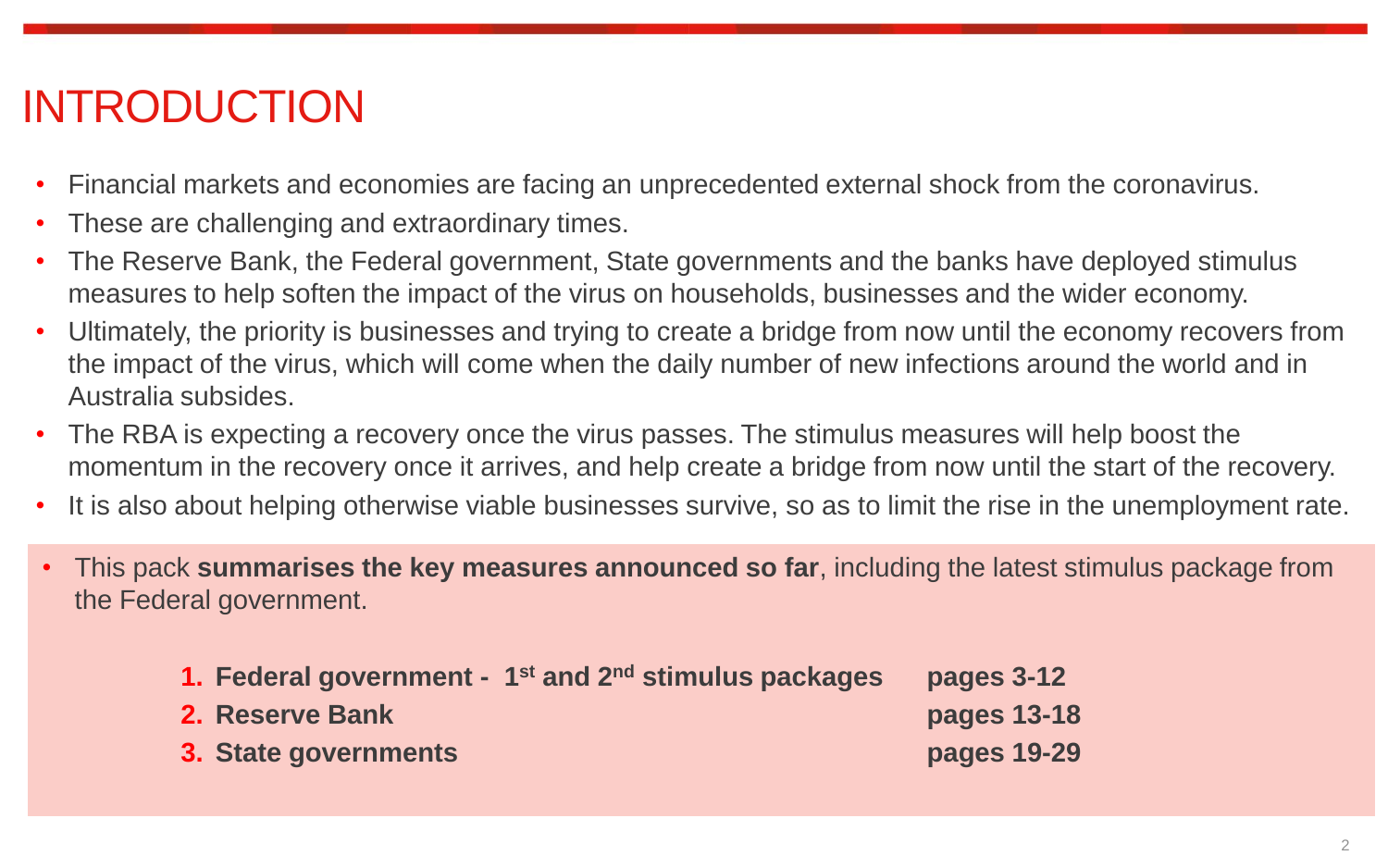# INTRODUCTION

- Financial markets and economies are facing an unprecedented external shock from the coronavirus.
- These are challenging and extraordinary times.
- The Reserve Bank, the Federal government, State governments and the banks have deployed stimulus measures to help soften the impact of the virus on households, businesses and the wider economy.
- Ultimately, the priority is businesses and trying to create a bridge from now until the economy recovers from the impact of the virus, which will come when the daily number of new infections around the world and in Australia subsides.
- The RBA is expecting a recovery once the virus passes. The stimulus measures will help boost the momentum in the recovery once it arrives, and help create a bridge from now until the start of the recovery.
- It is also about helping otherwise viable businesses survive, so as to limit the rise in the unemployment rate.
- This pack **summarises the key measures announced so far**, including the latest stimulus package from the Federal government.

| 1. Federal government - $1st$ and $2nd$ stimulus packages | pages 3-12  |
|-----------------------------------------------------------|-------------|
| 2. Reserve Bank                                           | pages 13-18 |
| 3. State governments                                      | pages 19-29 |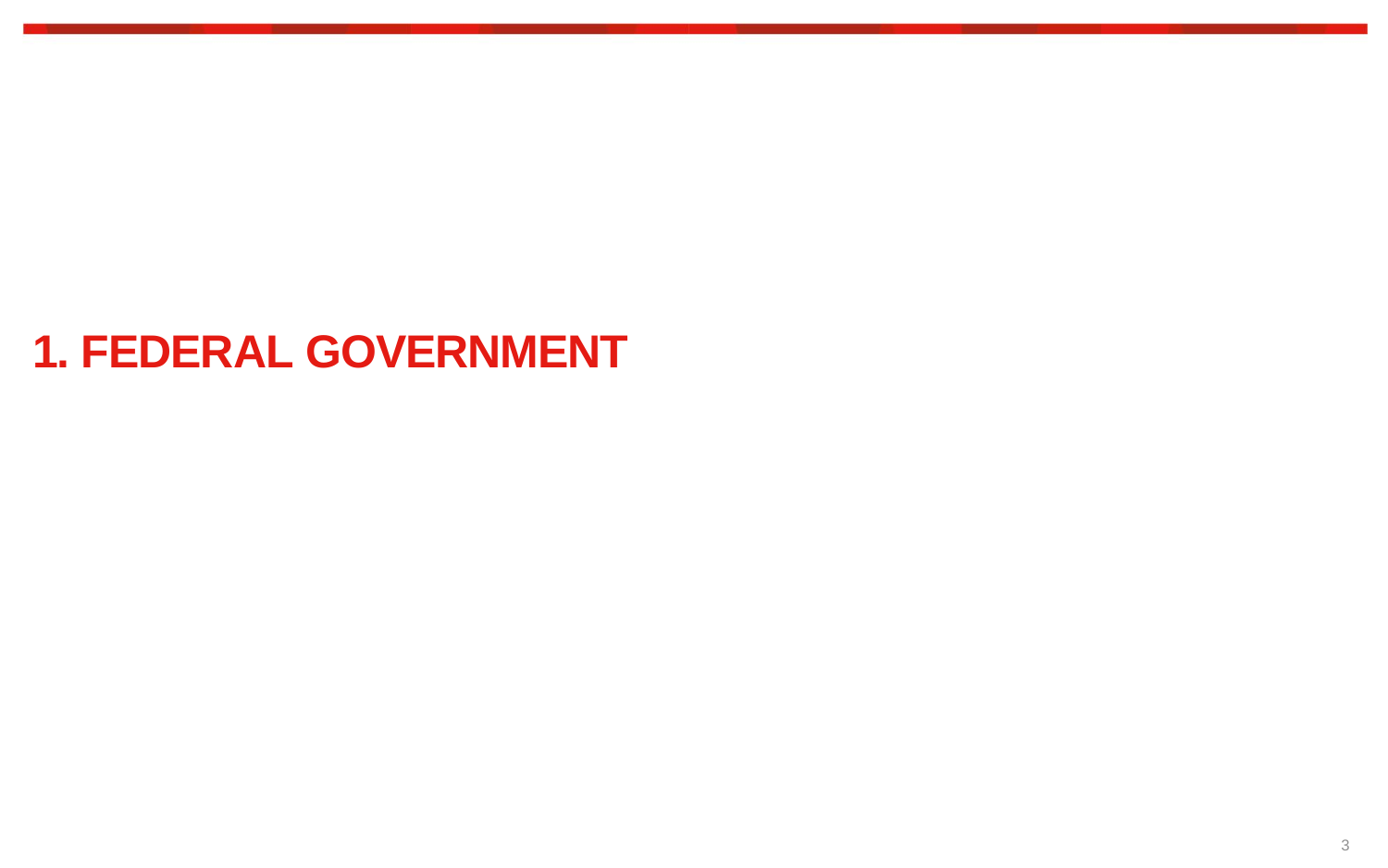## **1. FEDERAL GOVERNMENT**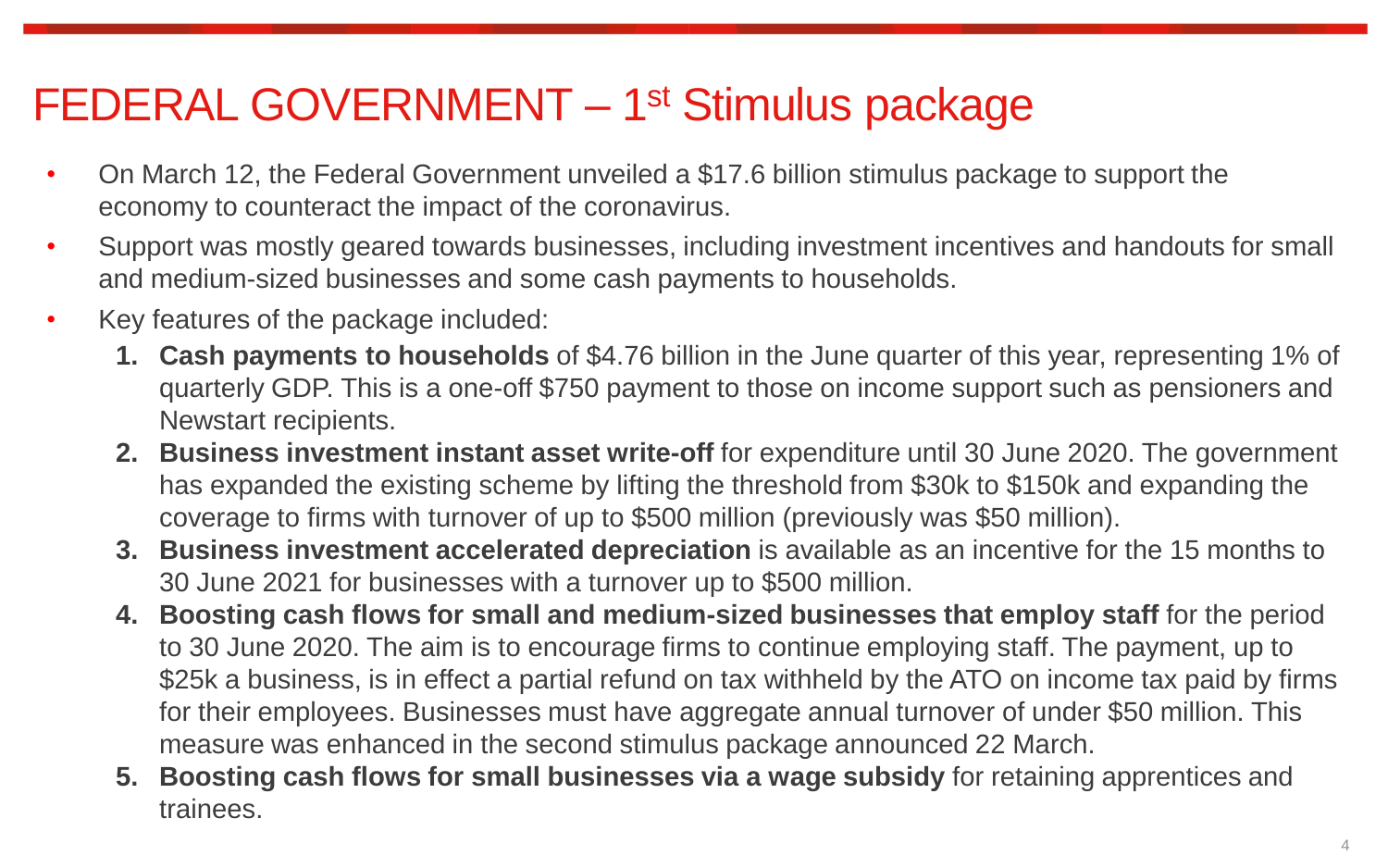# FEDERAL GOVERNMENT - 1<sup>st</sup> Stimulus package

- On March 12, the Federal Government unveiled a \$17.6 billion stimulus package to support the economy to counteract the impact of the coronavirus.
- Support was mostly geared towards businesses, including investment incentives and handouts for small and medium-sized businesses and some cash payments to households.
- Key features of the package included:
	- **1. Cash payments to households** of \$4.76 billion in the June quarter of this year, representing 1% of quarterly GDP. This is a one-off \$750 payment to those on income support such as pensioners and Newstart recipients.
	- **2. Business investment instant asset write-off** for expenditure until 30 June 2020. The government has expanded the existing scheme by lifting the threshold from \$30k to \$150k and expanding the coverage to firms with turnover of up to \$500 million (previously was \$50 million).
	- **3. Business investment accelerated depreciation** is available as an incentive for the 15 months to 30 June 2021 for businesses with a turnover up to \$500 million.
	- **4. Boosting cash flows for small and medium-sized businesses that employ staff** for the period to 30 June 2020. The aim is to encourage firms to continue employing staff. The payment, up to \$25k a business, is in effect a partial refund on tax withheld by the ATO on income tax paid by firms for their employees. Businesses must have aggregate annual turnover of under \$50 million. This measure was enhanced in the second stimulus package announced 22 March.
	- **5. Boosting cash flows for small businesses via a wage subsidy** for retaining apprentices and trainees.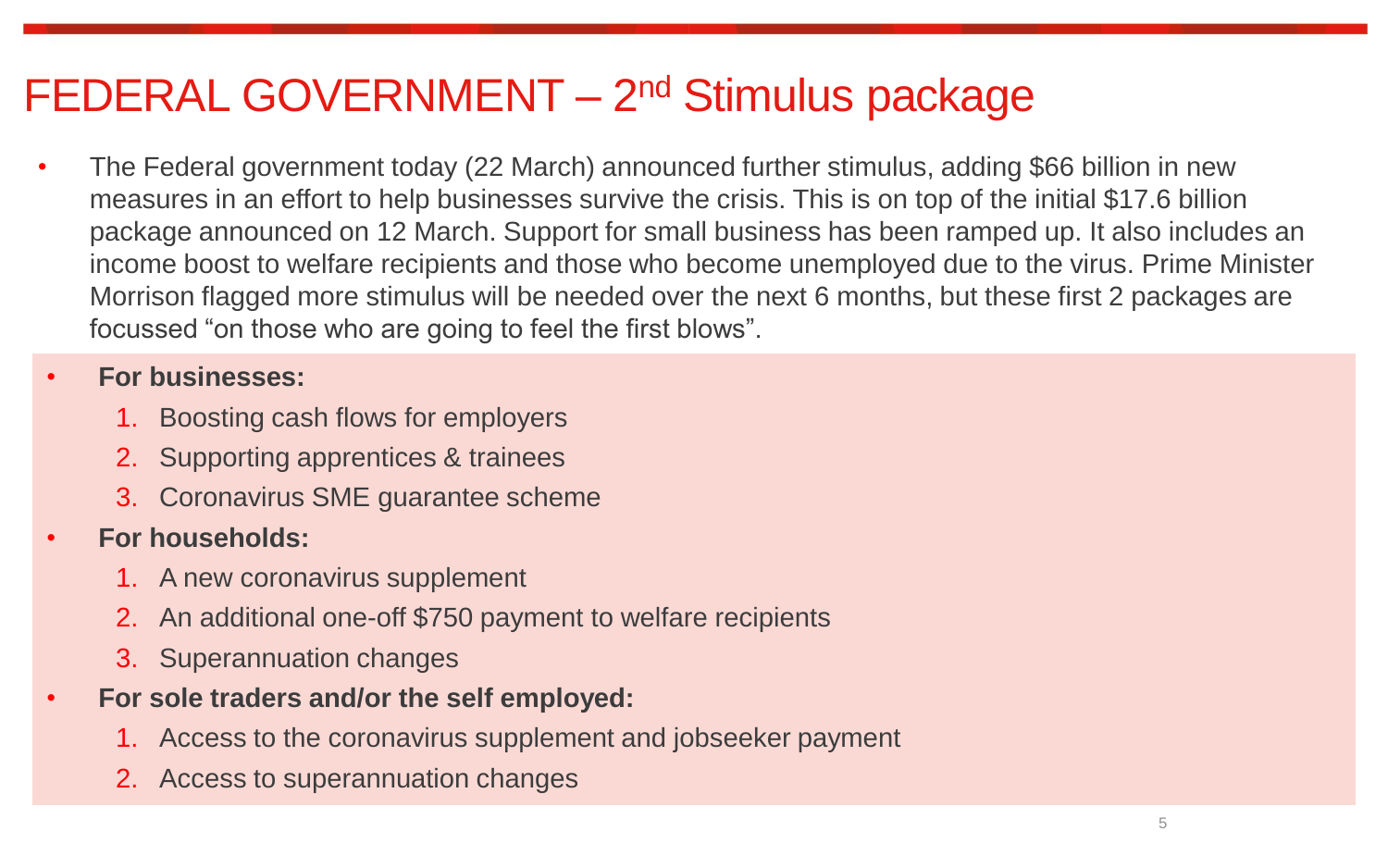## FEDERAL GOVERNMENT - 2<sup>nd</sup> Stimulus package

• The Federal government today (22 March) announced further stimulus, adding \$66 billion in new measures in an effort to help businesses survive the crisis. This is on top of the initial \$17.6 billion package announced on 12 March. Support for small business has been ramped up. It also includes an income boost to welfare recipients and those who become unemployed due to the virus. Prime Minister Morrison flagged more stimulus will be needed over the next 6 months, but these first 2 packages are focussed "on those who are going to feel the first blows".

#### • **For businesses:**

- 1. Boosting cash flows for employers
- 2. Supporting apprentices & trainees
- 3. Coronavirus SME guarantee scheme

#### • **For households:**

- 1. A new coronavirus supplement
- 2. An additional one-off \$750 payment to welfare recipients
- 3. Superannuation changes
- **For sole traders and/or the self employed:**
	- 1. Access to the coronavirus supplement and jobseeker payment
	- 2. Access to superannuation changes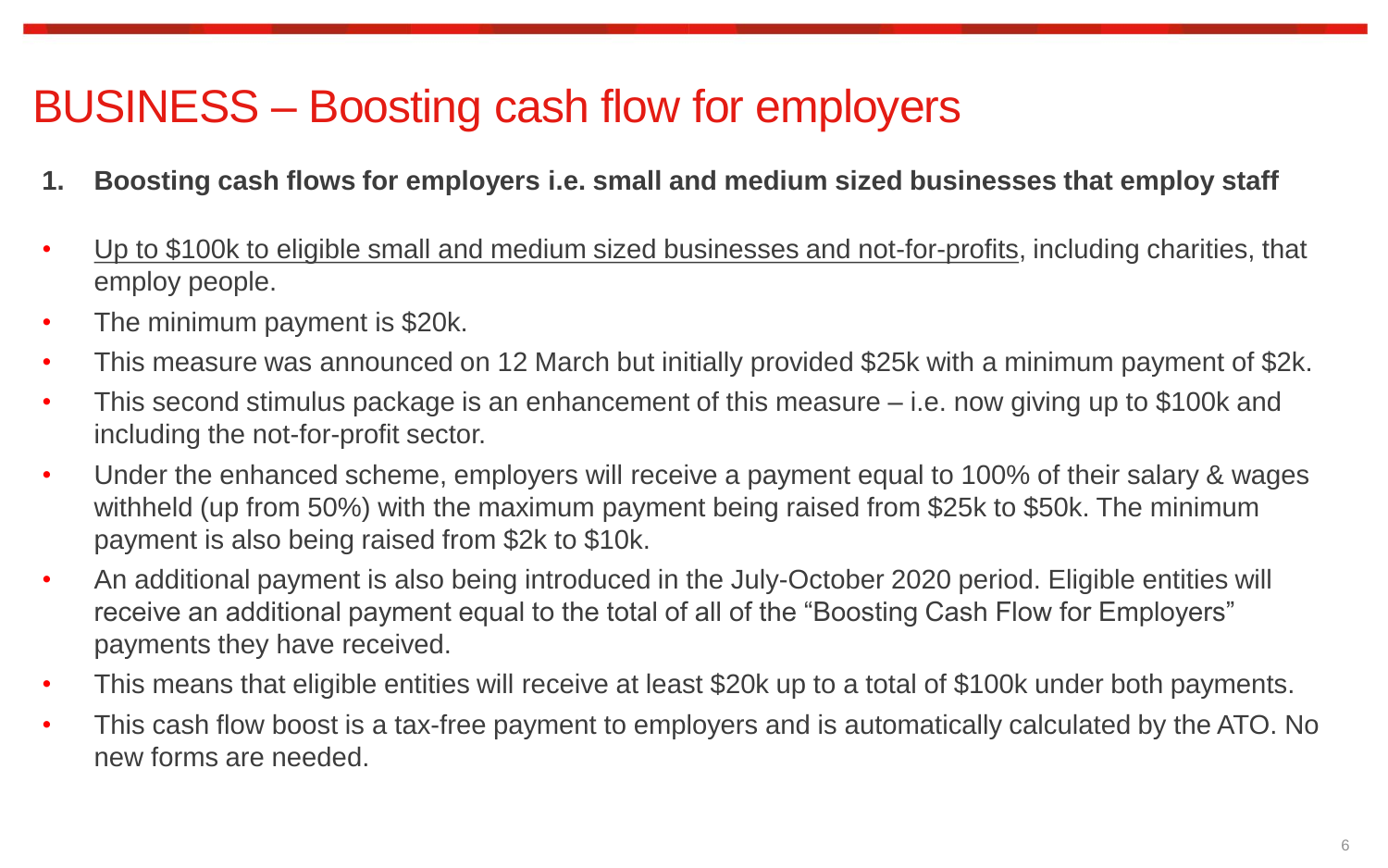# BUSINESS – Boosting cash flow for employers

- **1. Boosting cash flows for employers i.e. small and medium sized businesses that employ staff**
- Up to \$100k to eligible small and medium sized businesses and not-for-profits, including charities, that employ people.
- The minimum payment is \$20k.
- This measure was announced on 12 March but initially provided \$25k with a minimum payment of \$2k.
- This second stimulus package is an enhancement of this measure i.e. now giving up to \$100k and including the not-for-profit sector.
- Under the enhanced scheme, employers will receive a payment equal to 100% of their salary & wages withheld (up from 50%) with the maximum payment being raised from \$25k to \$50k. The minimum payment is also being raised from \$2k to \$10k.
- An additional payment is also being introduced in the July-October 2020 period. Eligible entities will receive an additional payment equal to the total of all of the "Boosting Cash Flow for Employers" payments they have received.
- This means that eligible entities will receive at least \$20k up to a total of \$100k under both payments.
- This cash flow boost is a tax-free payment to employers and is automatically calculated by the ATO. No new forms are needed.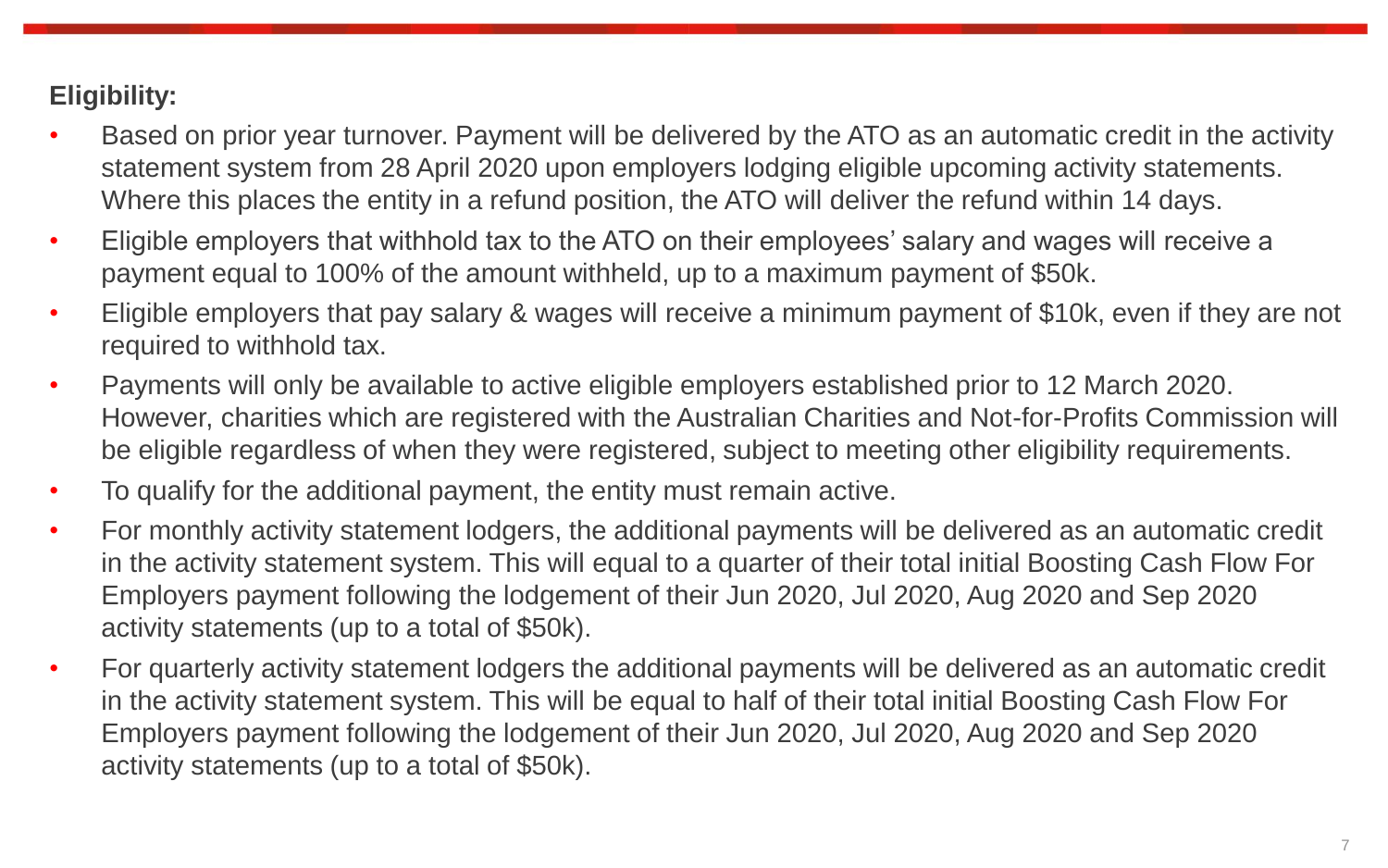### **Eligibility:**

- Based on prior year turnover. Payment will be delivered by the ATO as an automatic credit in the activity statement system from 28 April 2020 upon employers lodging eligible upcoming activity statements. Where this places the entity in a refund position, the ATO will deliver the refund within 14 days.
- Eligible employers that withhold tax to the ATO on their employees' salary and wages will receive a payment equal to 100% of the amount withheld, up to a maximum payment of \$50k.
- Eligible employers that pay salary & wages will receive a minimum payment of \$10k, even if they are not required to withhold tax.
- Payments will only be available to active eligible employers established prior to 12 March 2020. However, charities which are registered with the Australian Charities and Not-for-Profits Commission will be eligible regardless of when they were registered, subject to meeting other eligibility requirements.
- To qualify for the additional payment, the entity must remain active.
- For monthly activity statement lodgers, the additional payments will be delivered as an automatic credit in the activity statement system. This will equal to a quarter of their total initial Boosting Cash Flow For Employers payment following the lodgement of their Jun 2020, Jul 2020, Aug 2020 and Sep 2020 activity statements (up to a total of \$50k).
- For quarterly activity statement lodgers the additional payments will be delivered as an automatic credit in the activity statement system. This will be equal to half of their total initial Boosting Cash Flow For Employers payment following the lodgement of their Jun 2020, Jul 2020, Aug 2020 and Sep 2020 activity statements (up to a total of \$50k).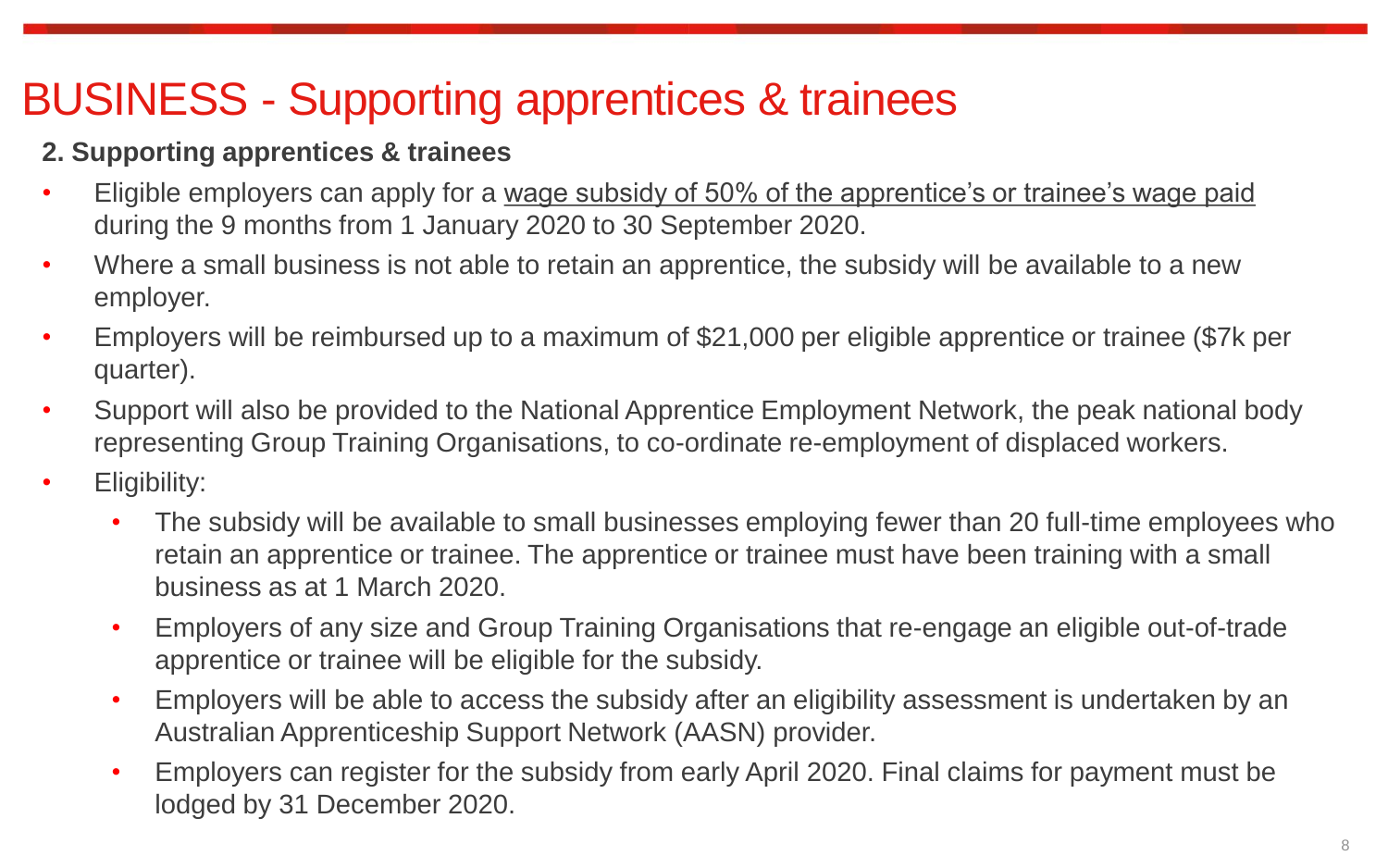# BUSINESS - Supporting apprentices & trainees

## **2. Supporting apprentices & trainees**

- Eligible employers can apply for a wage subsidy of 50% of the apprentice's or trainee's wage paid during the 9 months from 1 January 2020 to 30 September 2020.
- Where a small business is not able to retain an apprentice, the subsidy will be available to a new employer.
- Employers will be reimbursed up to a maximum of \$21,000 per eligible apprentice or trainee (\$7k per quarter).
- Support will also be provided to the National Apprentice Employment Network, the peak national body representing Group Training Organisations, to co-ordinate re-employment of displaced workers.
- Eligibility:
	- The subsidy will be available to small businesses employing fewer than 20 full-time employees who retain an apprentice or trainee. The apprentice or trainee must have been training with a small business as at 1 March 2020.
	- Employers of any size and Group Training Organisations that re-engage an eligible out-of-trade apprentice or trainee will be eligible for the subsidy.
	- Employers will be able to access the subsidy after an eligibility assessment is undertaken by an Australian Apprenticeship Support Network (AASN) provider.
	- Employers can register for the subsidy from early April 2020. Final claims for payment must be lodged by 31 December 2020.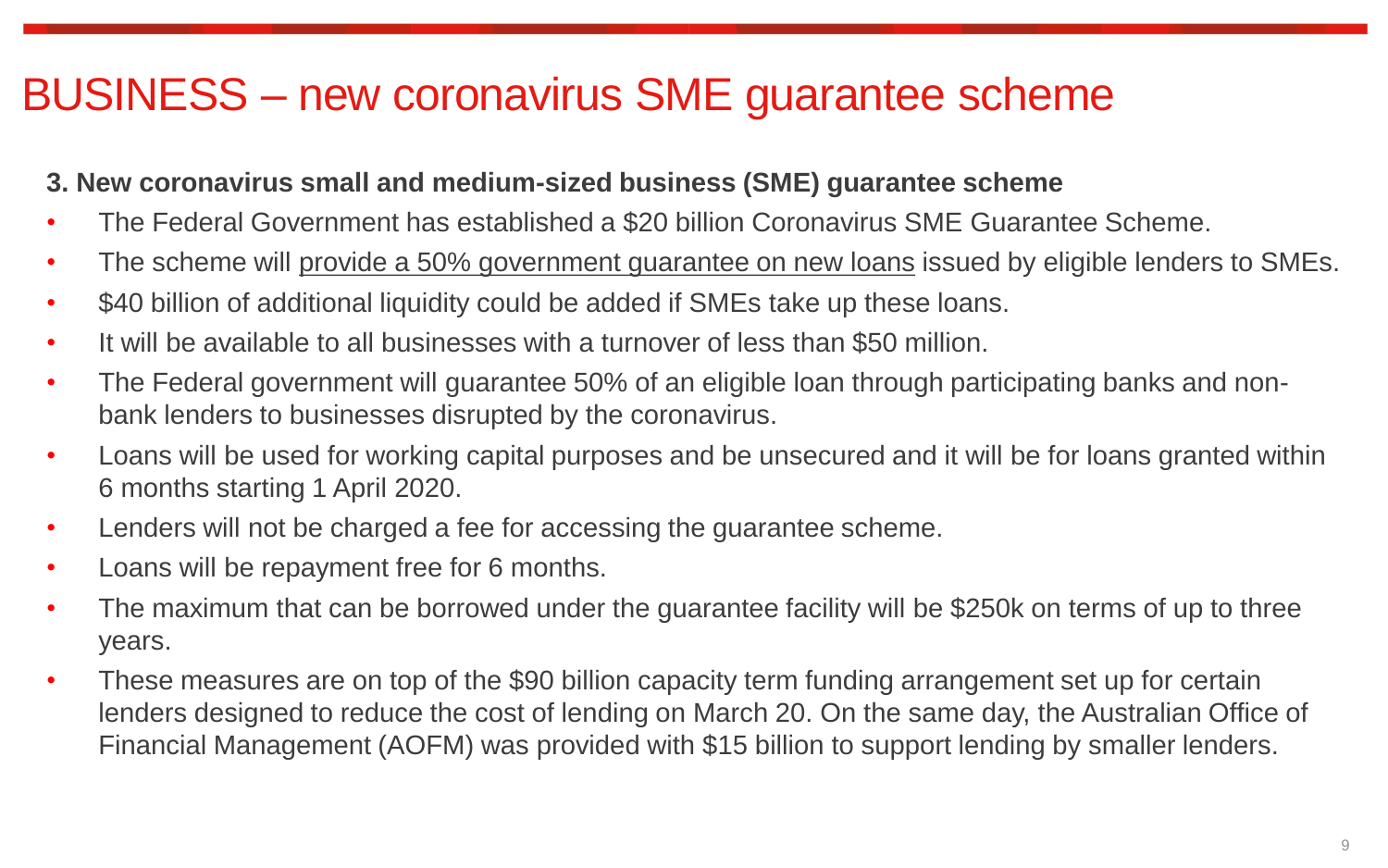## BUSINESS – new coronavirus SME guarantee scheme

### **3. New coronavirus small and medium-sized business (SME) guarantee scheme**

- The Federal Government has established a \$20 billion Coronavirus SME Guarantee Scheme.
- The scheme will provide a 50% government guarantee on new loans issued by eligible lenders to SMEs.
- \$40 billion of additional liquidity could be added if SMEs take up these loans.
- It will be available to all businesses with a turnover of less than \$50 million.
- The Federal government will guarantee 50% of an eligible loan through participating banks and nonbank lenders to businesses disrupted by the coronavirus.
- Loans will be used for working capital purposes and be unsecured and it will be for loans granted within 6 months starting 1 April 2020.
- Lenders will not be charged a fee for accessing the guarantee scheme.
- Loans will be repayment free for 6 months.
- The maximum that can be borrowed under the guarantee facility will be \$250k on terms of up to three years.
- These measures are on top of the \$90 billion capacity term funding arrangement set up for certain lenders designed to reduce the cost of lending on March 20. On the same day, the Australian Office of Financial Management (AOFM) was provided with \$15 billion to support lending by smaller lenders.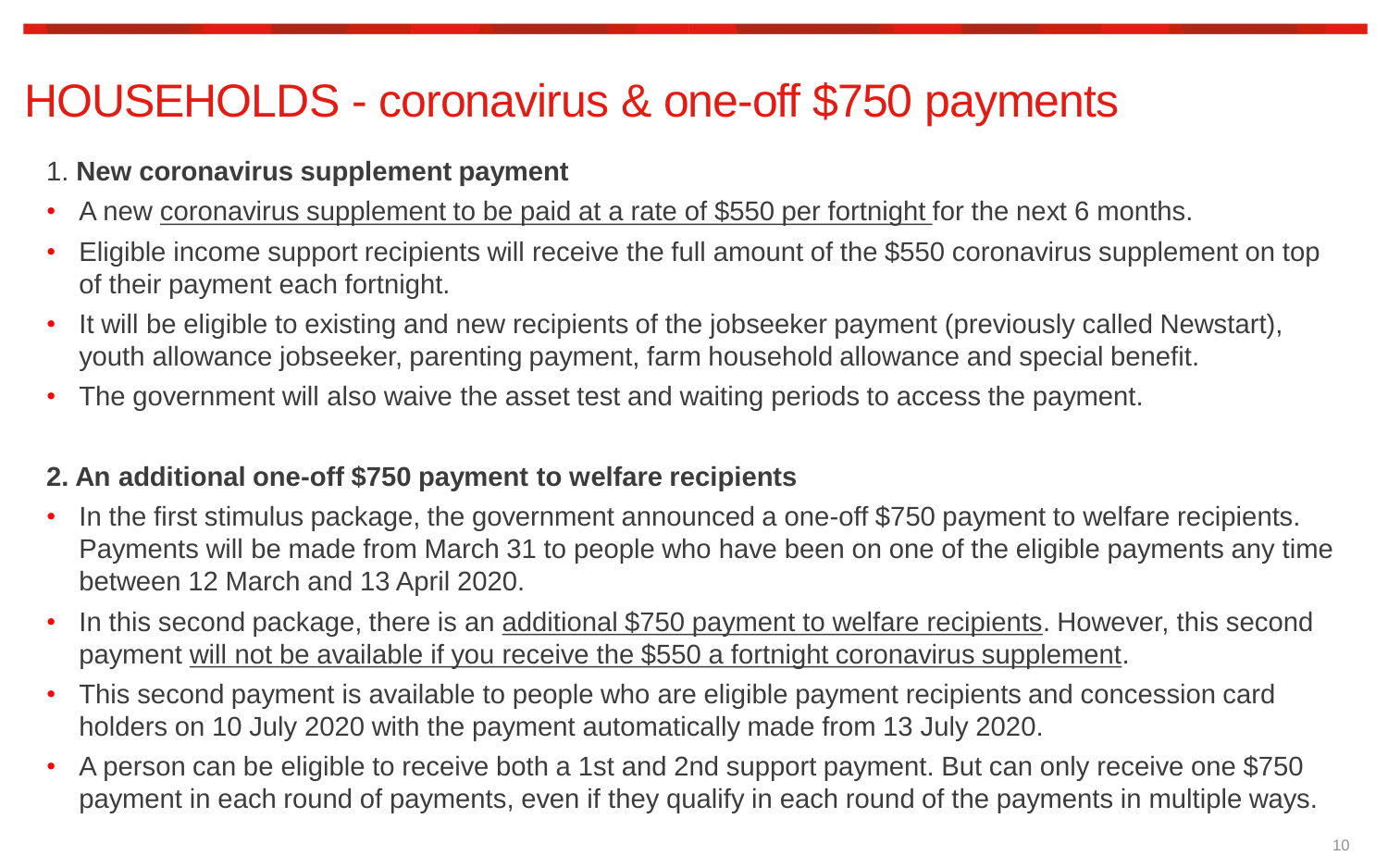# HOUSEHOLDS - coronavirus & one-off \$750 payments

### 1. **New coronavirus supplement payment**

- A new coronavirus supplement to be paid at a rate of \$550 per fortnight for the next 6 months.
- Eligible income support recipients will receive the full amount of the \$550 coronavirus supplement on top of their payment each fortnight.
- It will be eligible to existing and new recipients of the jobseeker payment (previously called Newstart), youth allowance jobseeker, parenting payment, farm household allowance and special benefit.
- The government will also waive the asset test and waiting periods to access the payment.

#### **2. An additional one-off \$750 payment to welfare recipients**

- In the first stimulus package, the government announced a one-off \$750 payment to welfare recipients. Payments will be made from March 31 to people who have been on one of the eligible payments any time between 12 March and 13 April 2020.
- In this second package, there is an additional \$750 payment to welfare recipients. However, this second payment will not be available if you receive the \$550 a fortnight coronavirus supplement.
- This second payment is available to people who are eligible payment recipients and concession card holders on 10 July 2020 with the payment automatically made from 13 July 2020.
- A person can be eligible to receive both a 1st and 2nd support payment. But can only receive one \$750 payment in each round of payments, even if they qualify in each round of the payments in multiple ways.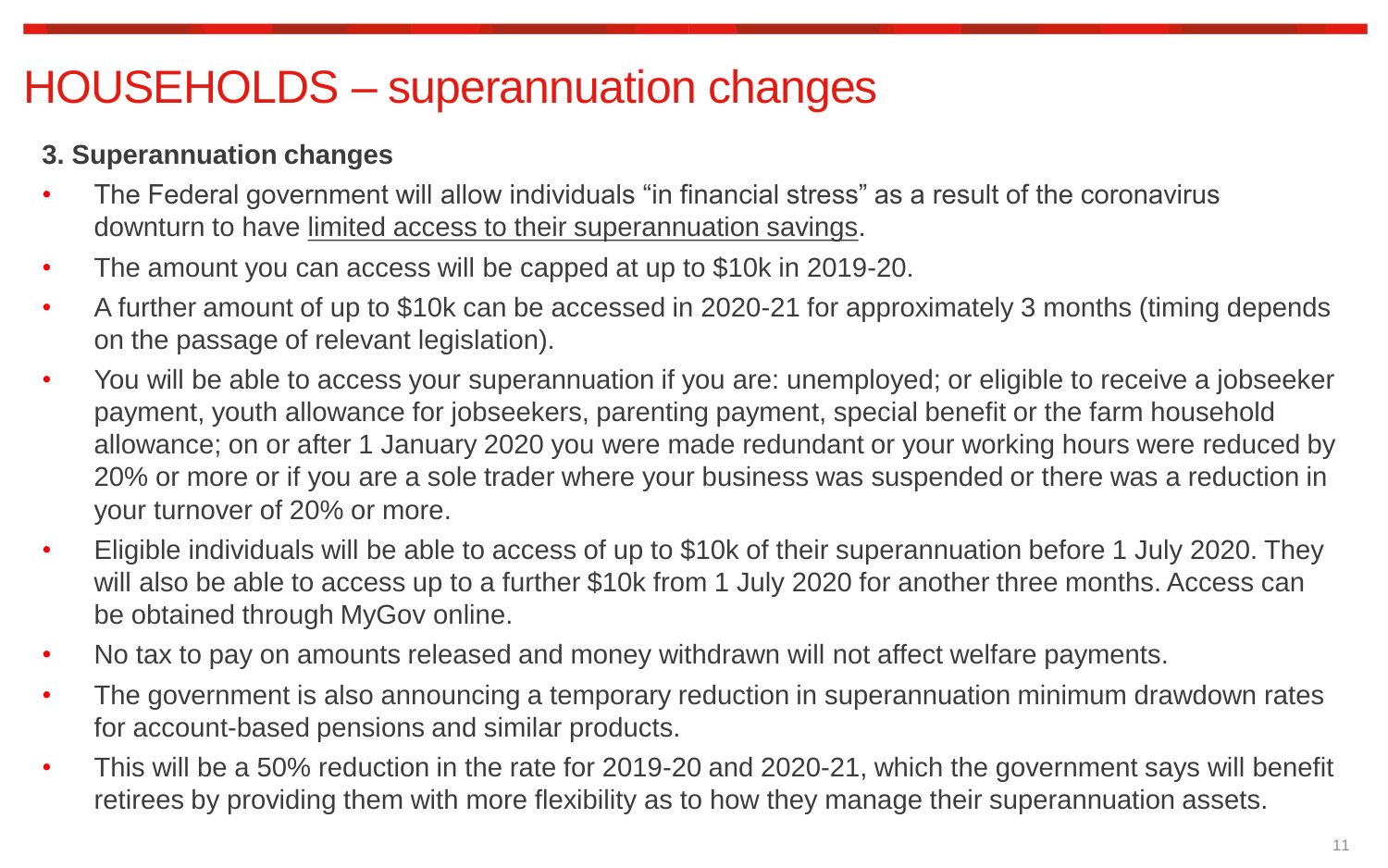## HOUSEHOLDS – superannuation changes

### **3. Superannuation changes**

- The Federal government will allow individuals "in financial stress" as a result of the coronavirus downturn to have limited access to their superannuation savings.
- The amount you can access will be capped at up to \$10k in 2019-20.
- A further amount of up to \$10k can be accessed in 2020-21 for approximately 3 months (timing depends on the passage of relevant legislation).
- You will be able to access your superannuation if you are: unemployed; or eligible to receive a jobseeker payment, youth allowance for jobseekers, parenting payment, special benefit or the farm household allowance; on or after 1 January 2020 you were made redundant or your working hours were reduced by 20% or more or if you are a sole trader where your business was suspended or there was a reduction in your turnover of 20% or more.
- Eligible individuals will be able to access of up to \$10k of their superannuation before 1 July 2020. They will also be able to access up to a further \$10k from 1 July 2020 for another three months. Access can be obtained through MyGov online.
- No tax to pay on amounts released and money withdrawn will not affect welfare payments.
- The government is also announcing a temporary reduction in superannuation minimum drawdown rates for account-based pensions and similar products.
- This will be a 50% reduction in the rate for 2019-20 and 2020-21, which the government says will benefit retirees by providing them with more flexibility as to how they manage their superannuation assets.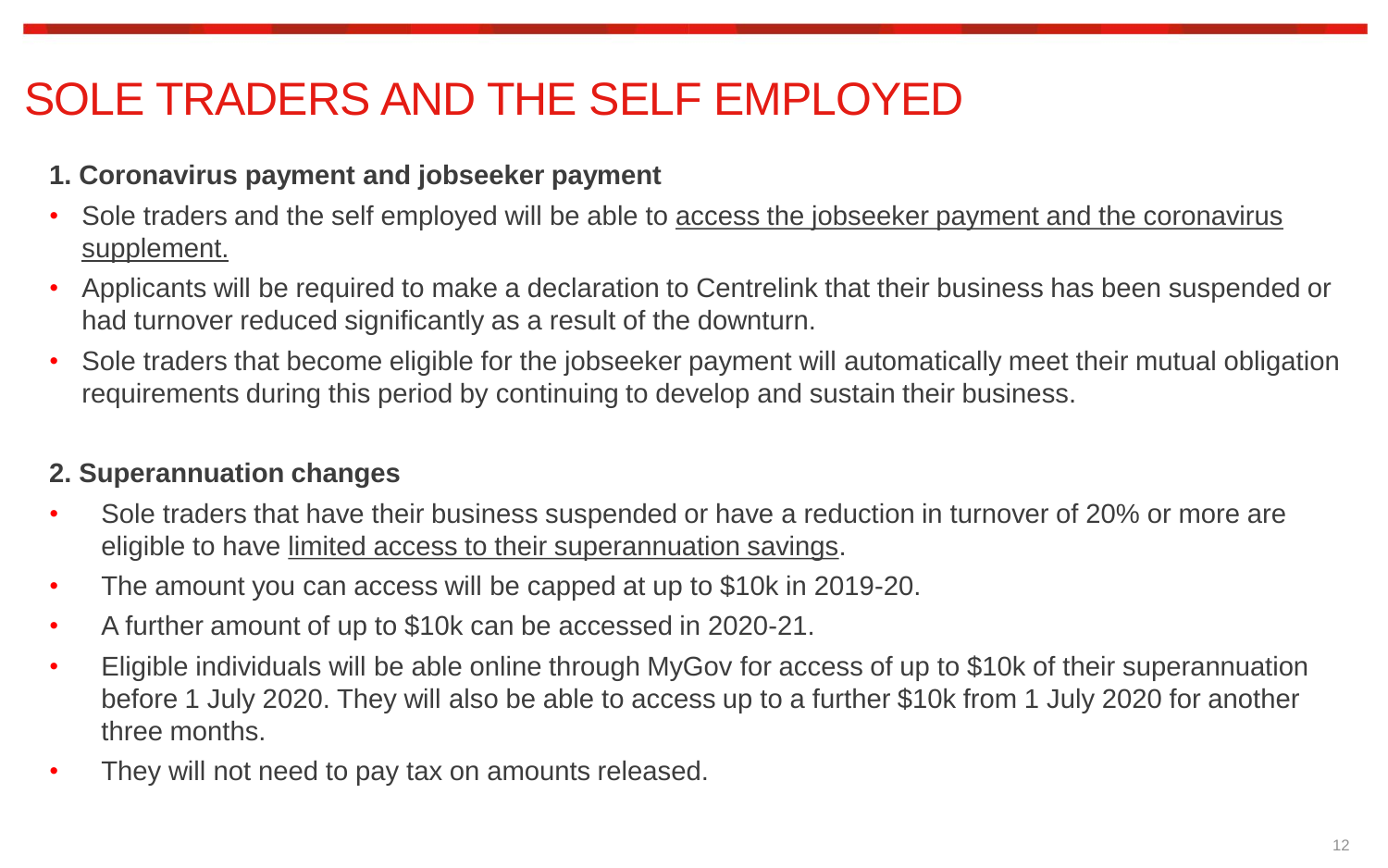# SOLE TRADERS AND THE SELF EMPLOYED

### **1. Coronavirus payment and jobseeker payment**

- Sole traders and the self employed will be able to access the jobseeker payment and the coronavirus supplement.
- Applicants will be required to make a declaration to Centrelink that their business has been suspended or had turnover reduced significantly as a result of the downturn.
- Sole traders that become eligible for the jobseeker payment will automatically meet their mutual obligation requirements during this period by continuing to develop and sustain their business.

## **2. Superannuation changes**

- Sole traders that have their business suspended or have a reduction in turnover of 20% or more are eligible to have limited access to their superannuation savings.
- The amount you can access will be capped at up to \$10k in 2019-20.
- A further amount of up to \$10k can be accessed in 2020-21.
- Eligible individuals will be able online through MyGov for access of up to \$10k of their superannuation before 1 July 2020. They will also be able to access up to a further \$10k from 1 July 2020 for another three months.
- They will not need to pay tax on amounts released.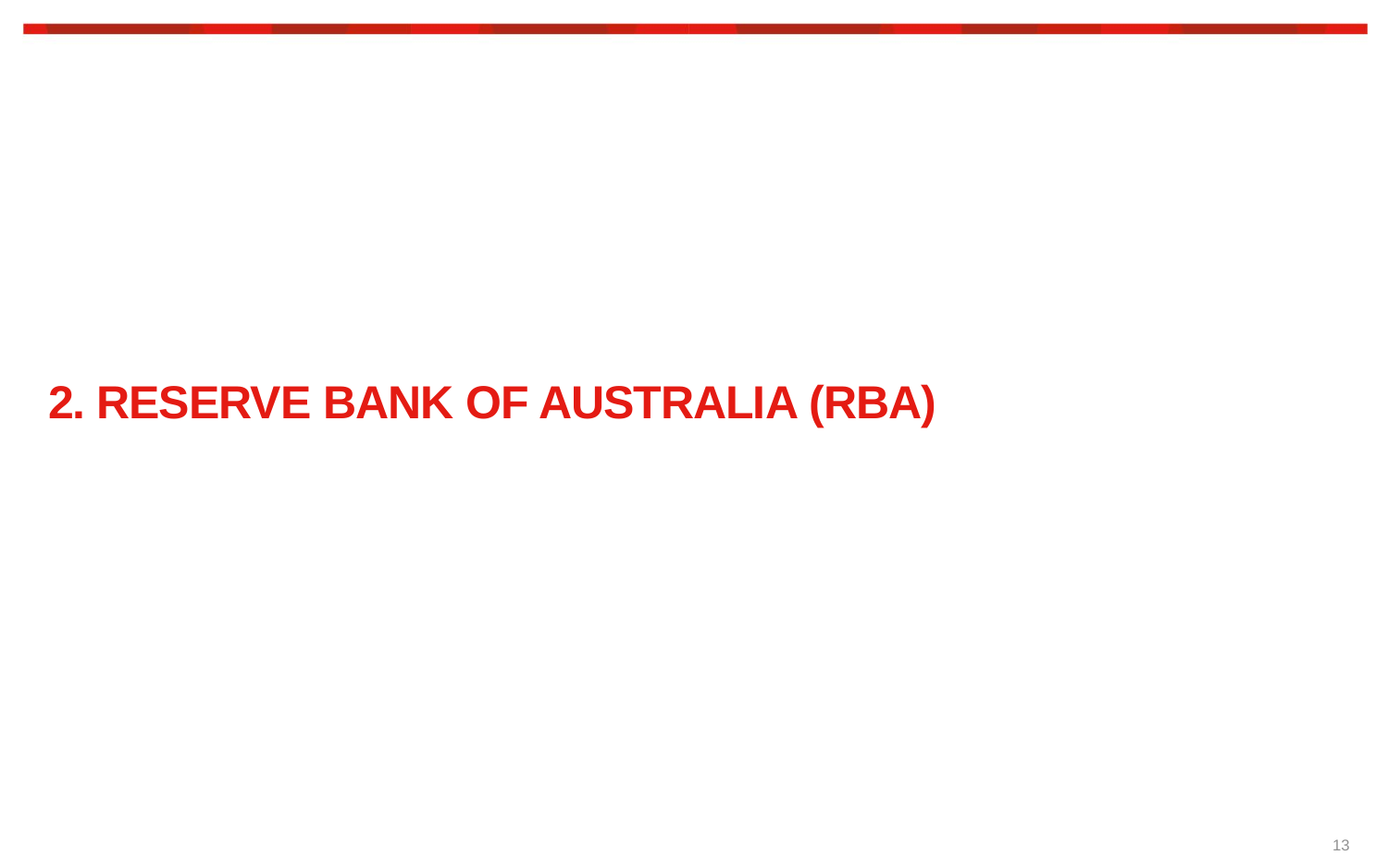## **2. RESERVE BANK OF AUSTRALIA (RBA)**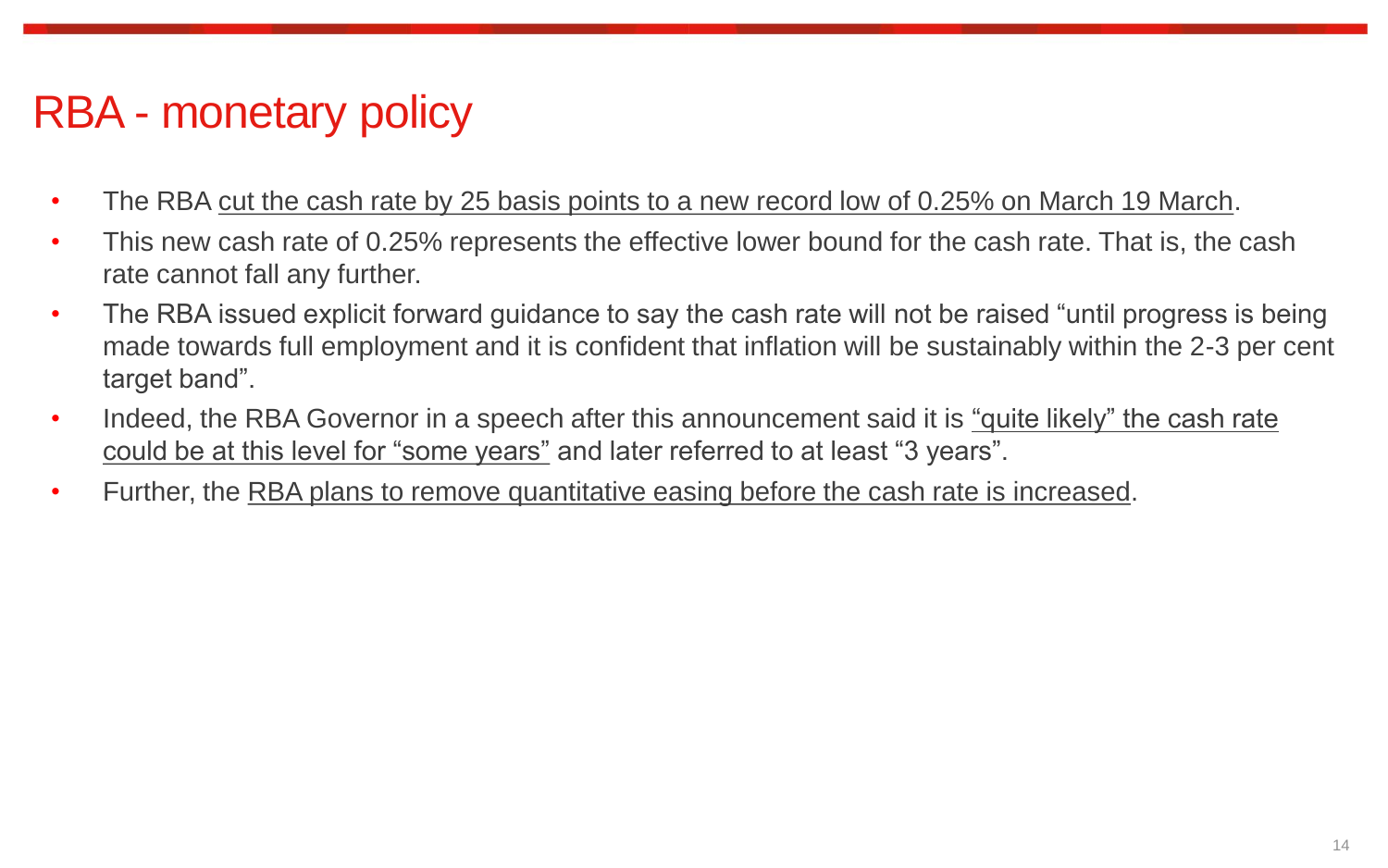## RBA - monetary policy

- The RBA cut the cash rate by 25 basis points to a new record low of 0.25% on March 19 March.
- This new cash rate of 0.25% represents the effective lower bound for the cash rate. That is, the cash rate cannot fall any further.
- The RBA issued explicit forward guidance to say the cash rate will not be raised "until progress is being made towards full employment and it is confident that inflation will be sustainably within the 2-3 per cent target band".
- Indeed, the RBA Governor in a speech after this announcement said it is "quite likely" the cash rate could be at this level for "some years" and later referred to at least "3 years".
- Further, the RBA plans to remove quantitative easing before the cash rate is increased.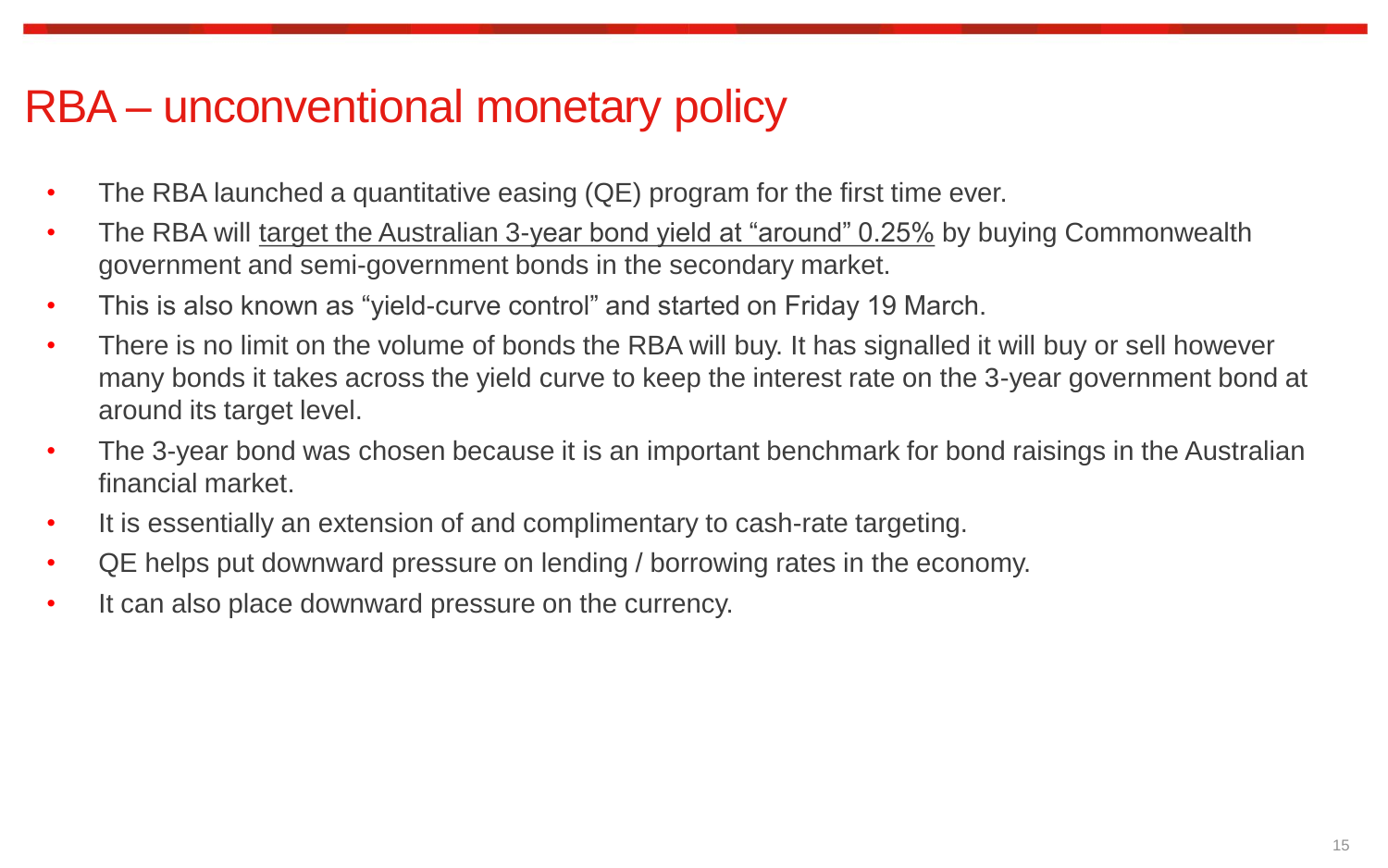## RBA – unconventional monetary policy

- The RBA launched a quantitative easing (QE) program for the first time ever.
- The RBA will target the Australian 3-year bond yield at "around" 0.25% by buying Commonwealth government and semi-government bonds in the secondary market.
- This is also known as "yield-curve control" and started on Friday 19 March.
- There is no limit on the volume of bonds the RBA will buy. It has signalled it will buy or sell however many bonds it takes across the yield curve to keep the interest rate on the 3-year government bond at around its target level.
- The 3-year bond was chosen because it is an important benchmark for bond raisings in the Australian financial market.
- It is essentially an extension of and complimentary to cash-rate targeting.
- QE helps put downward pressure on lending / borrowing rates in the economy.
- It can also place downward pressure on the currency.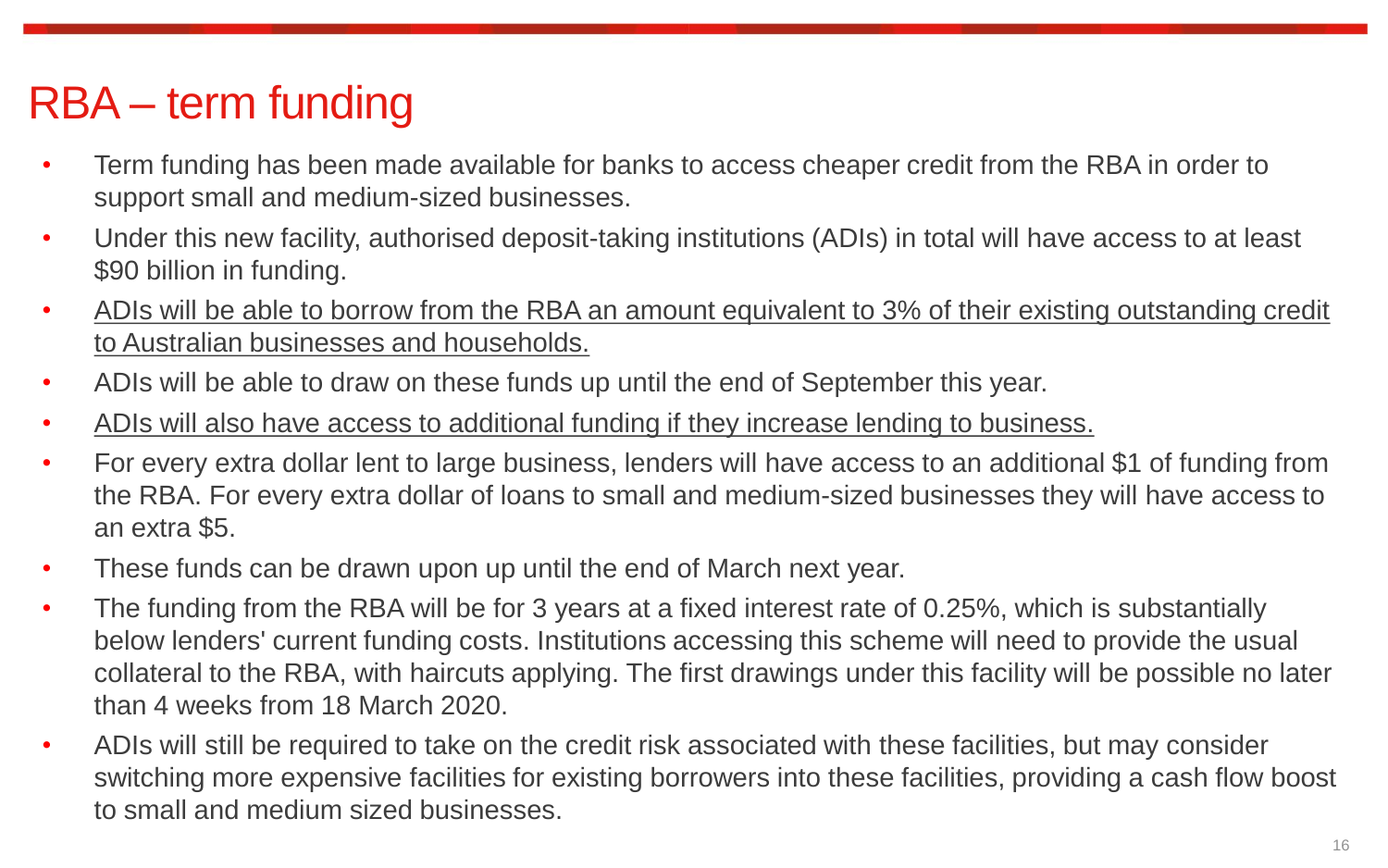# RBA – term funding

- Term funding has been made available for banks to access cheaper credit from the RBA in order to support small and medium-sized businesses.
- Under this new facility, authorised deposit-taking institutions (ADIs) in total will have access to at least \$90 billion in funding.
- ADIs will be able to borrow from the RBA an amount equivalent to 3% of their existing outstanding credit to Australian businesses and households.
- ADIs will be able to draw on these funds up until the end of September this year.
- ADIs will also have access to additional funding if they increase lending to business.
- For every extra dollar lent to large business, lenders will have access to an additional \$1 of funding from the RBA. For every extra dollar of loans to small and medium-sized businesses they will have access to an extra \$5.
- These funds can be drawn upon up until the end of March next year.
- The funding from the RBA will be for 3 years at a fixed interest rate of 0.25%, which is substantially below lenders' current funding costs. Institutions accessing this scheme will need to provide the usual collateral to the RBA, with haircuts applying. The first drawings under this facility will be possible no later than 4 weeks from 18 March 2020.
- ADIs will still be required to take on the credit risk associated with these facilities, but may consider switching more expensive facilities for existing borrowers into these facilities, providing a cash flow boost to small and medium sized businesses.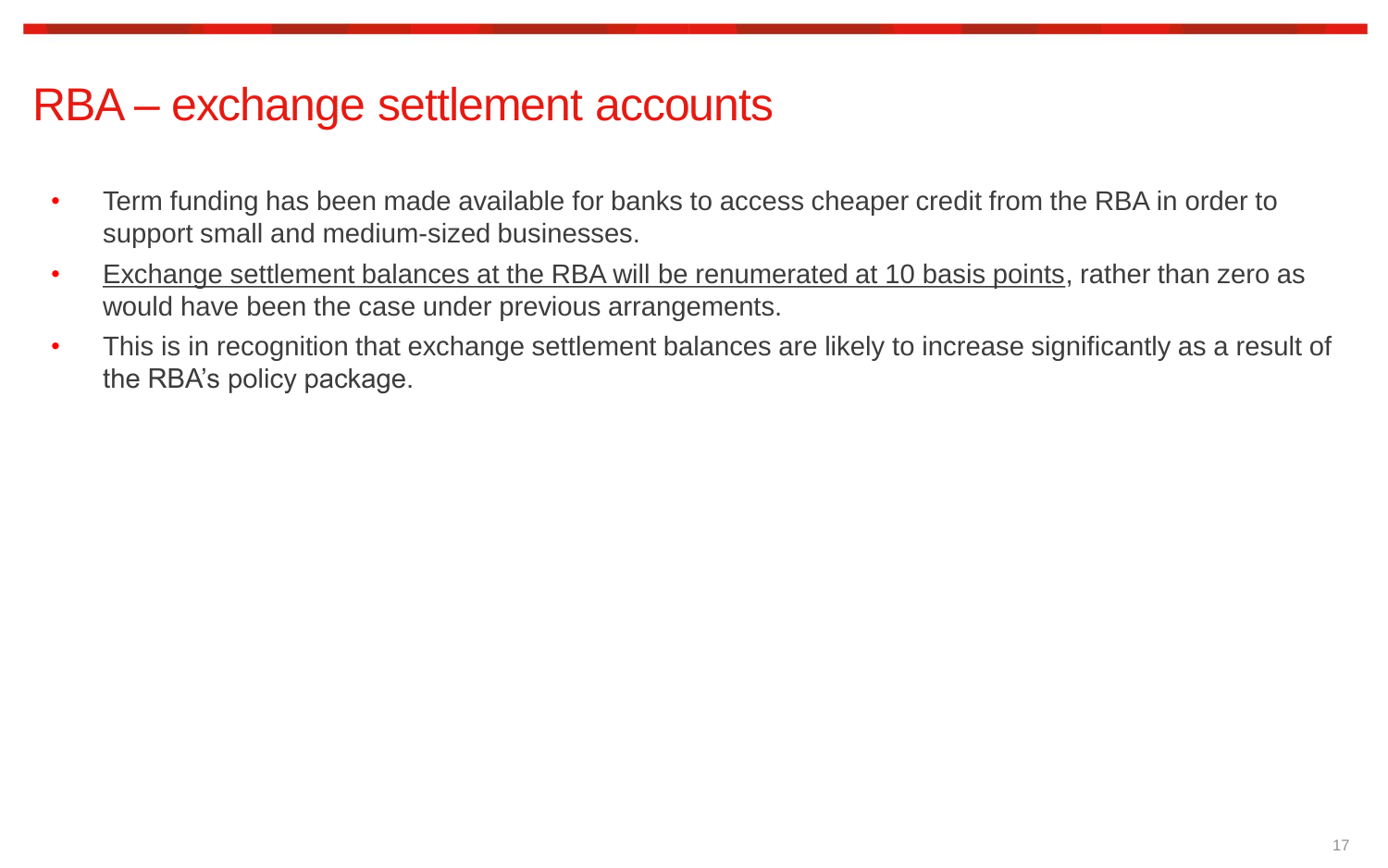## RBA – exchange settlement accounts

- Term funding has been made available for banks to access cheaper credit from the RBA in order to support small and medium-sized businesses.
- Exchange settlement balances at the RBA will be renumerated at 10 basis points, rather than zero as would have been the case under previous arrangements.
- This is in recognition that exchange settlement balances are likely to increase significantly as a result of the RBA's policy package.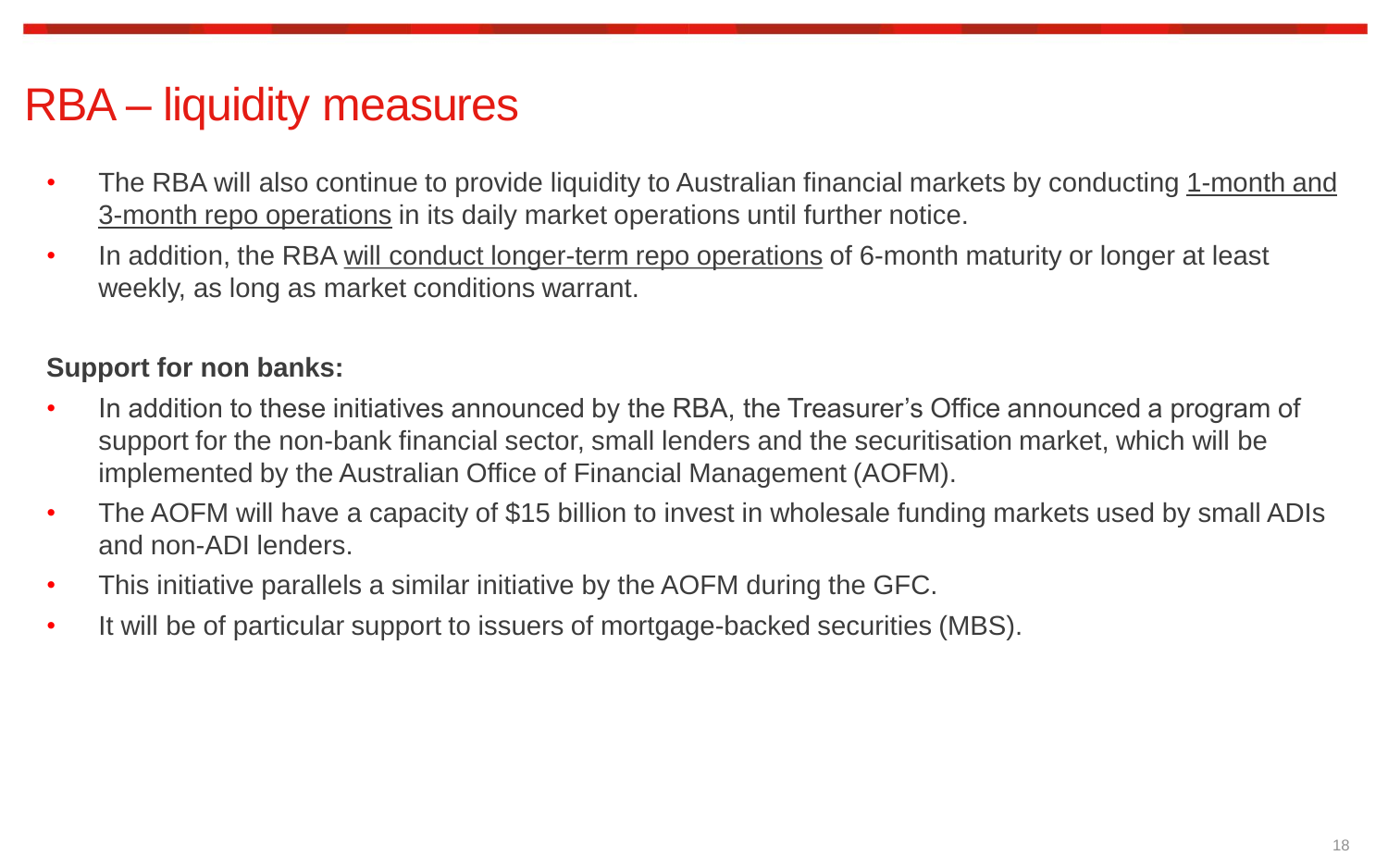## RBA – liquidity measures

- The RBA will also continue to provide liquidity to Australian financial markets by conducting 1-month and 3-month repo operations in its daily market operations until further notice.
- In addition, the RBA will conduct longer-term repo operations of 6-month maturity or longer at least weekly, as long as market conditions warrant.

#### **Support for non banks:**

- In addition to these initiatives announced by the RBA, the Treasurer's Office announced a program of support for the non-bank financial sector, small lenders and the securitisation market, which will be implemented by the Australian Office of Financial Management (AOFM).
- The AOFM will have a capacity of \$15 billion to invest in wholesale funding markets used by small ADIs and non-ADI lenders.
- This initiative parallels a similar initiative by the AOFM during the GFC.
- It will be of particular support to issuers of mortgage-backed securities (MBS).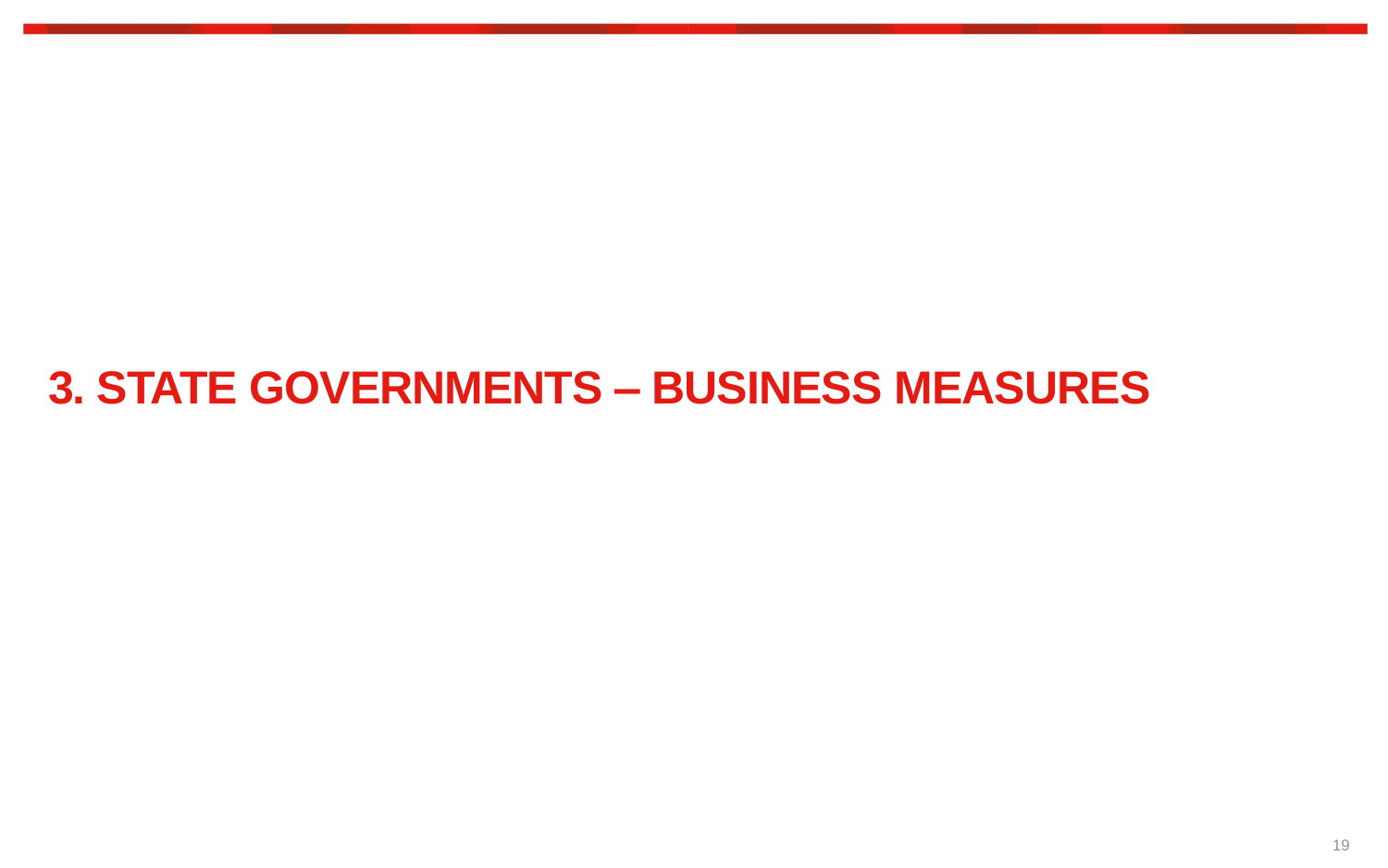# **3. STATE GOVERNMENTS – BUSINESS MEASURES**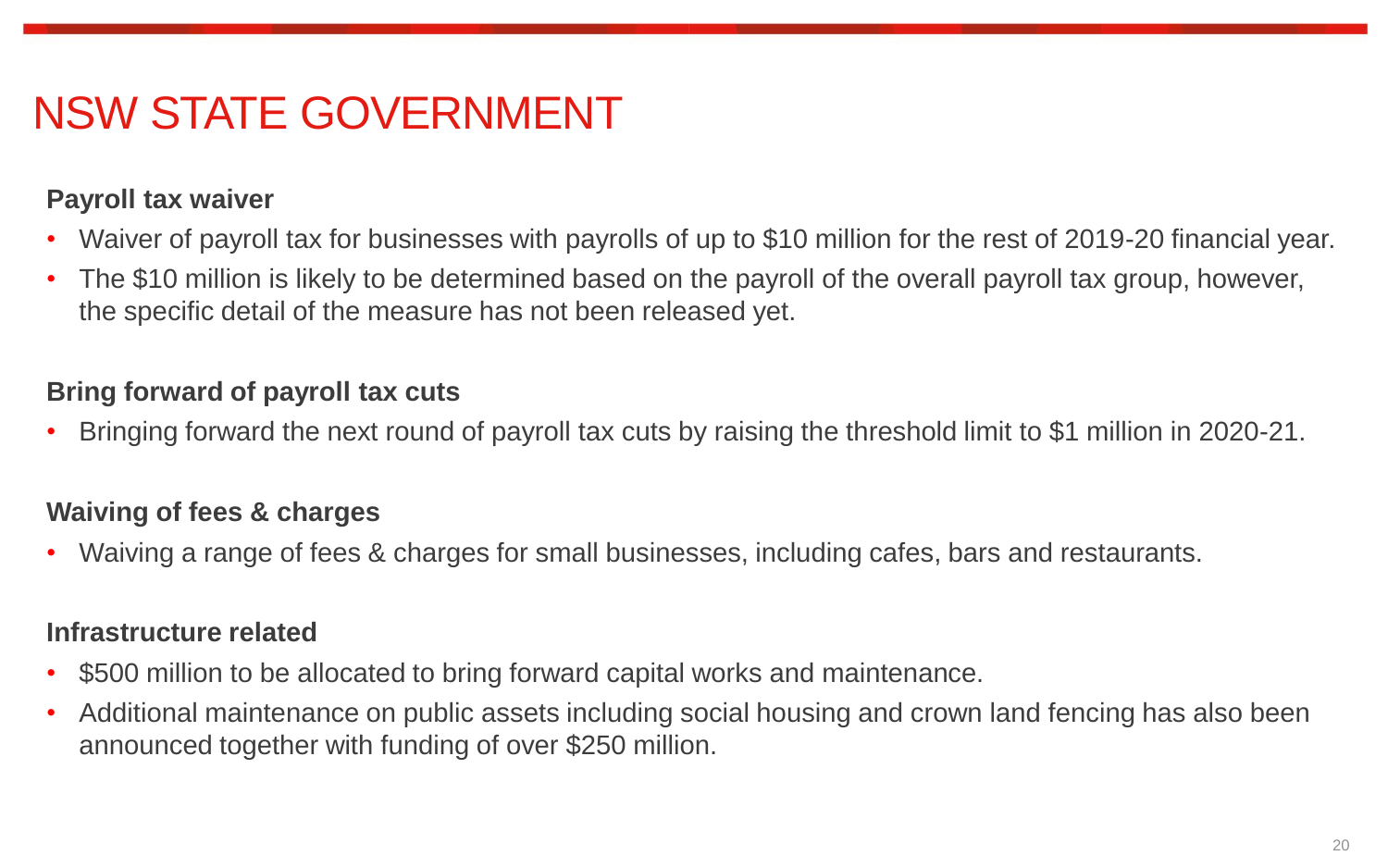## NSW STATE GOVERNMENT

#### **Payroll tax waiver**

- Waiver of payroll tax for businesses with payrolls of up to \$10 million for the rest of 2019-20 financial year.
- The \$10 million is likely to be determined based on the payroll of the overall payroll tax group, however, the specific detail of the measure has not been released yet.

#### **Bring forward of payroll tax cuts**

• Bringing forward the next round of payroll tax cuts by raising the threshold limit to \$1 million in 2020-21.

### **Waiving of fees & charges**

• Waiving a range of fees & charges for small businesses, including cafes, bars and restaurants.

#### **Infrastructure related**

- \$500 million to be allocated to bring forward capital works and maintenance.
- Additional maintenance on public assets including social housing and crown land fencing has also been announced together with funding of over \$250 million.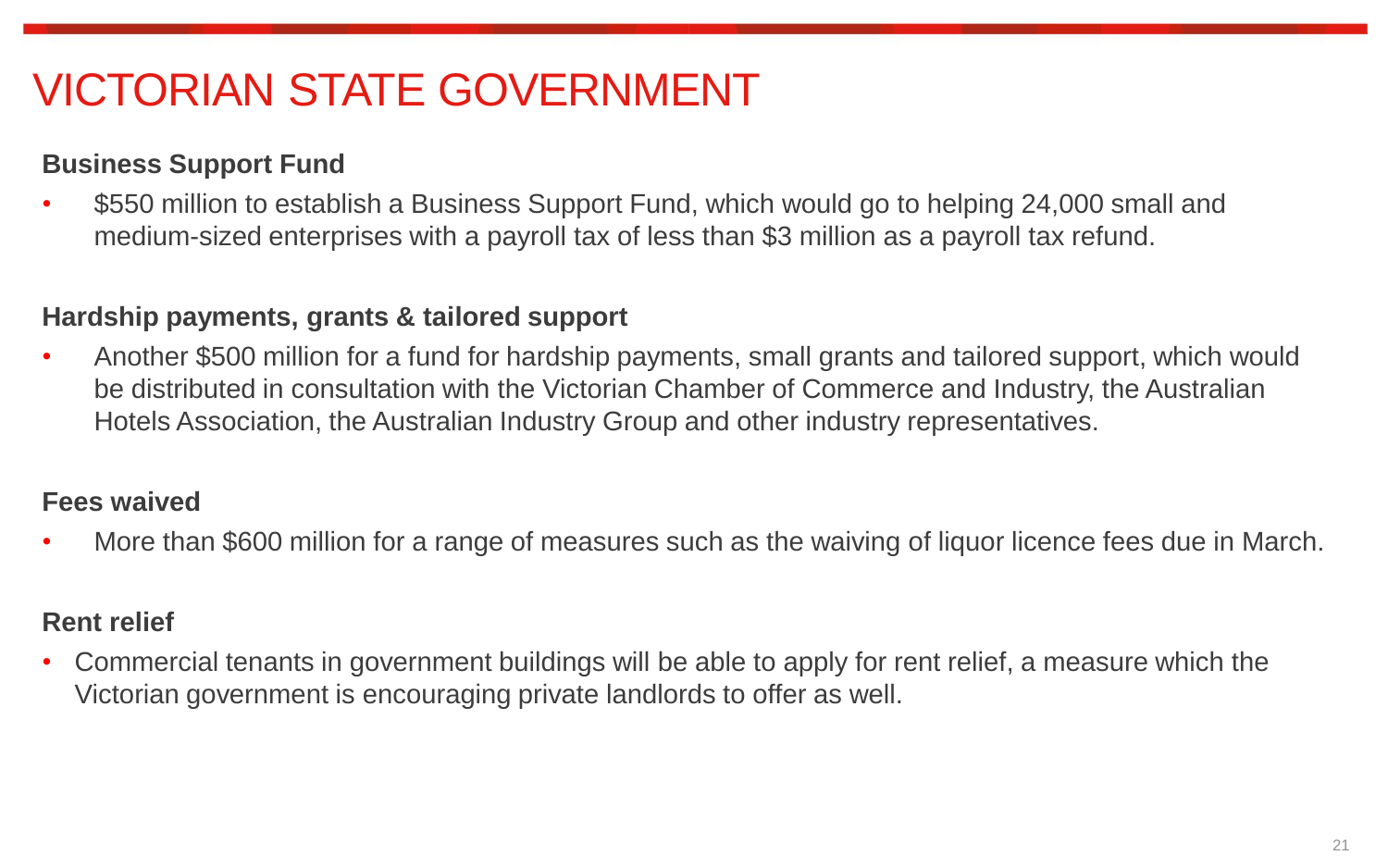# VICTORIAN STATE GOVERNMENT

### **Business Support Fund**

• \$550 million to establish a Business Support Fund, which would go to helping 24,000 small and medium-sized enterprises with a payroll tax of less than \$3 million as a payroll tax refund.

#### **Hardship payments, grants & tailored support**

• Another \$500 million for a fund for hardship payments, small grants and tailored support, which would be distributed in consultation with the Victorian Chamber of Commerce and Industry, the Australian Hotels Association, the Australian Industry Group and other industry representatives.

### **Fees waived**

• More than \$600 million for a range of measures such as the waiving of liquor licence fees due in March.

### **Rent relief**

• Commercial tenants in government buildings will be able to apply for rent relief, a measure which the Victorian government is encouraging private landlords to offer as well.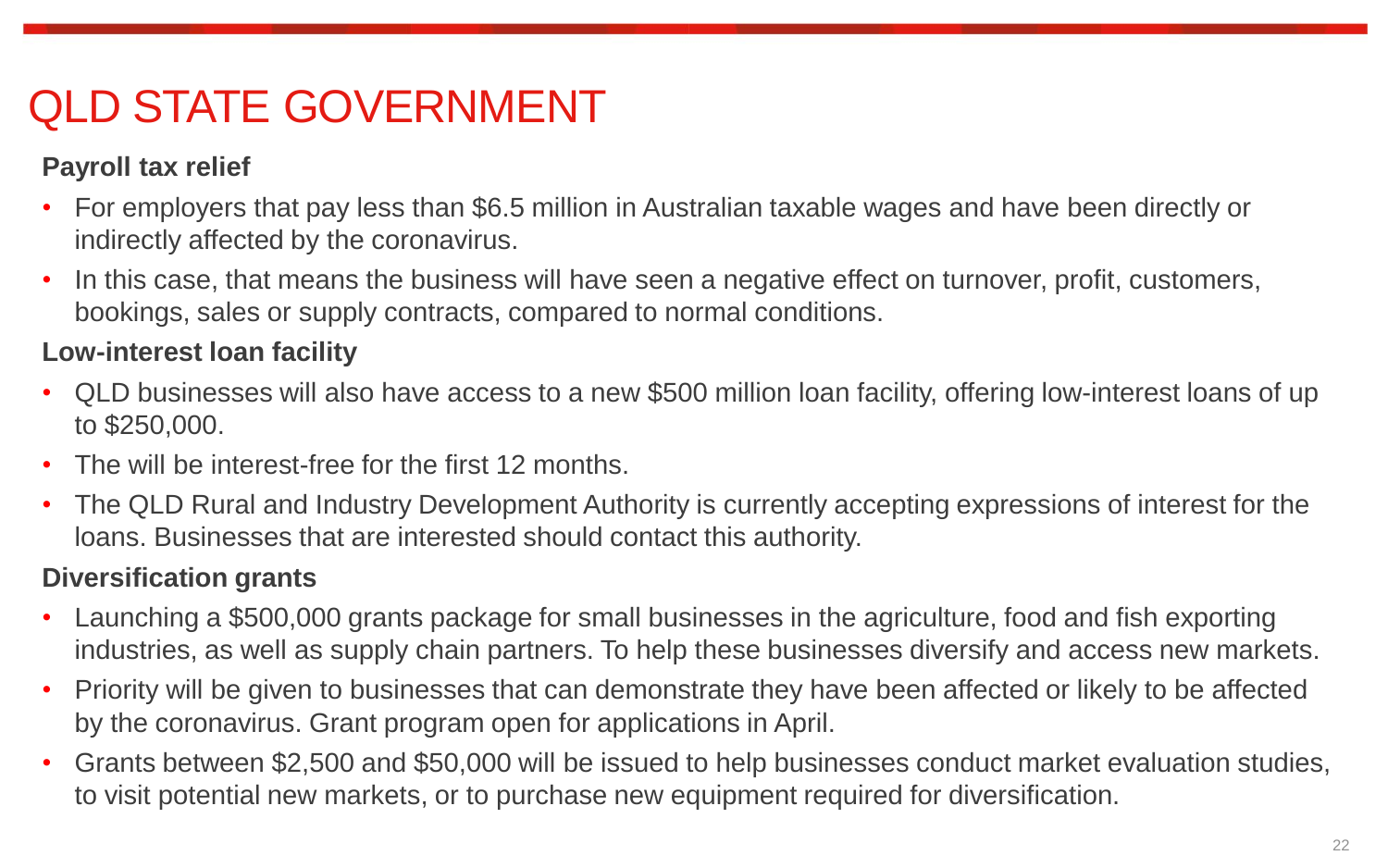# QLD STATE GOVERNMENT

### **Payroll tax relief**

- For employers that pay less than \$6.5 million in Australian taxable wages and have been directly or indirectly affected by the coronavirus.
- In this case, that means the business will have seen a negative effect on turnover, profit, customers, bookings, sales or supply contracts, compared to normal conditions.

### **Low-interest loan facility**

- QLD businesses will also have access to a new \$500 million loan facility, offering low-interest loans of up to \$250,000.
- The will be interest-free for the first 12 months.
- The QLD Rural and Industry Development Authority is currently accepting expressions of interest for the loans. Businesses that are interested should contact this authority.

### **Diversification grants**

- Launching a \$500,000 grants package for small businesses in the agriculture, food and fish exporting industries, as well as supply chain partners. To help these businesses diversify and access new markets.
- Priority will be given to businesses that can demonstrate they have been affected or likely to be affected by the coronavirus. Grant program open for applications in April.
- Grants between \$2,500 and \$50,000 will be issued to help businesses conduct market evaluation studies, to visit potential new markets, or to purchase new equipment required for diversification.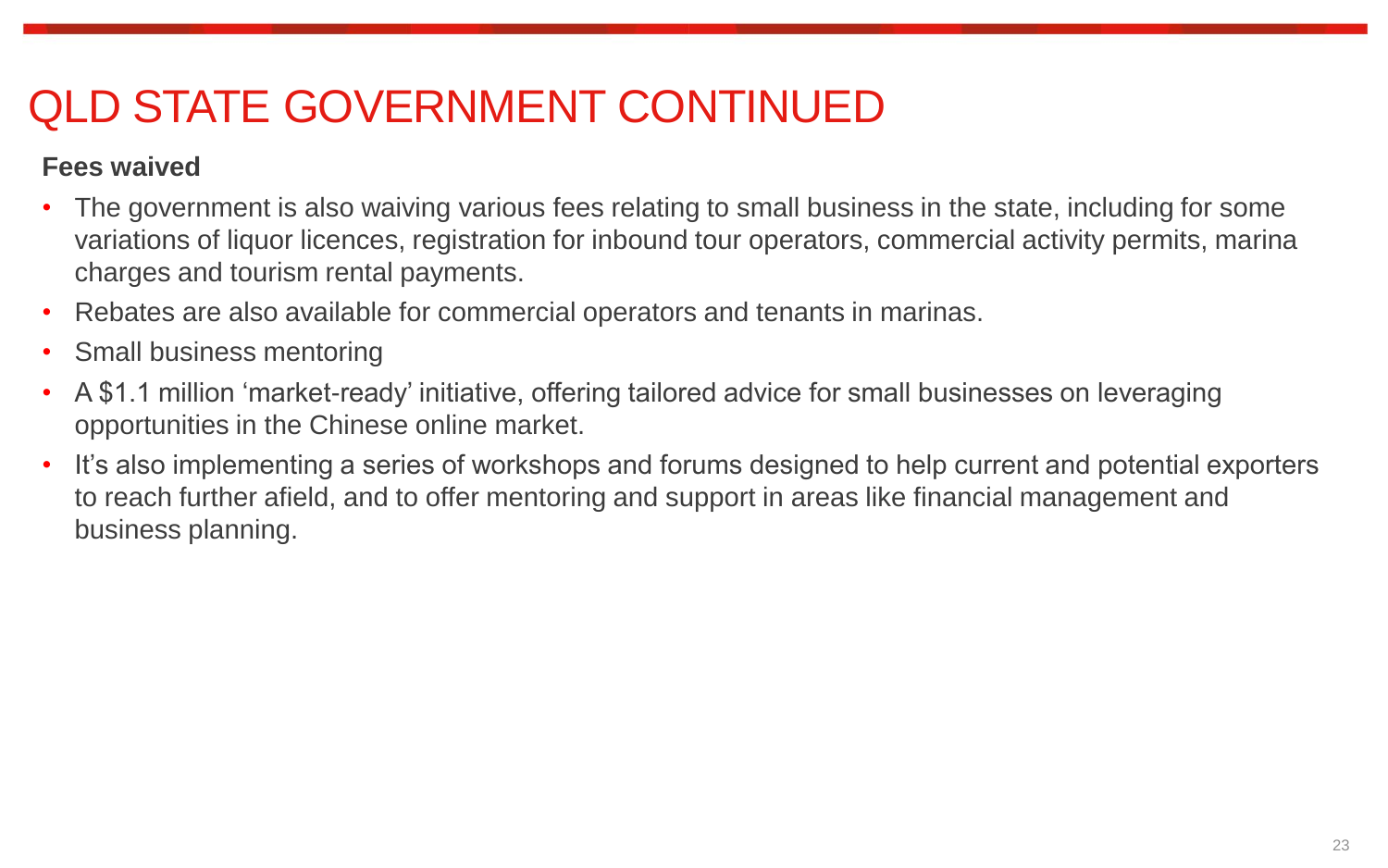# QLD STATE GOVERNMENT CONTINUED

### **Fees waived**

- The government is also waiving various fees relating to small business in the state, including for some variations of liquor licences, registration for inbound tour operators, commercial activity permits, marina charges and tourism rental payments.
- Rebates are also available for commercial operators and tenants in marinas.
- Small business mentoring
- A \$1.1 million 'market-ready' initiative, offering tailored advice for small businesses on leveraging opportunities in the Chinese online market.
- It's also implementing a series of workshops and forums designed to help current and potential exporters to reach further afield, and to offer mentoring and support in areas like financial management and business planning.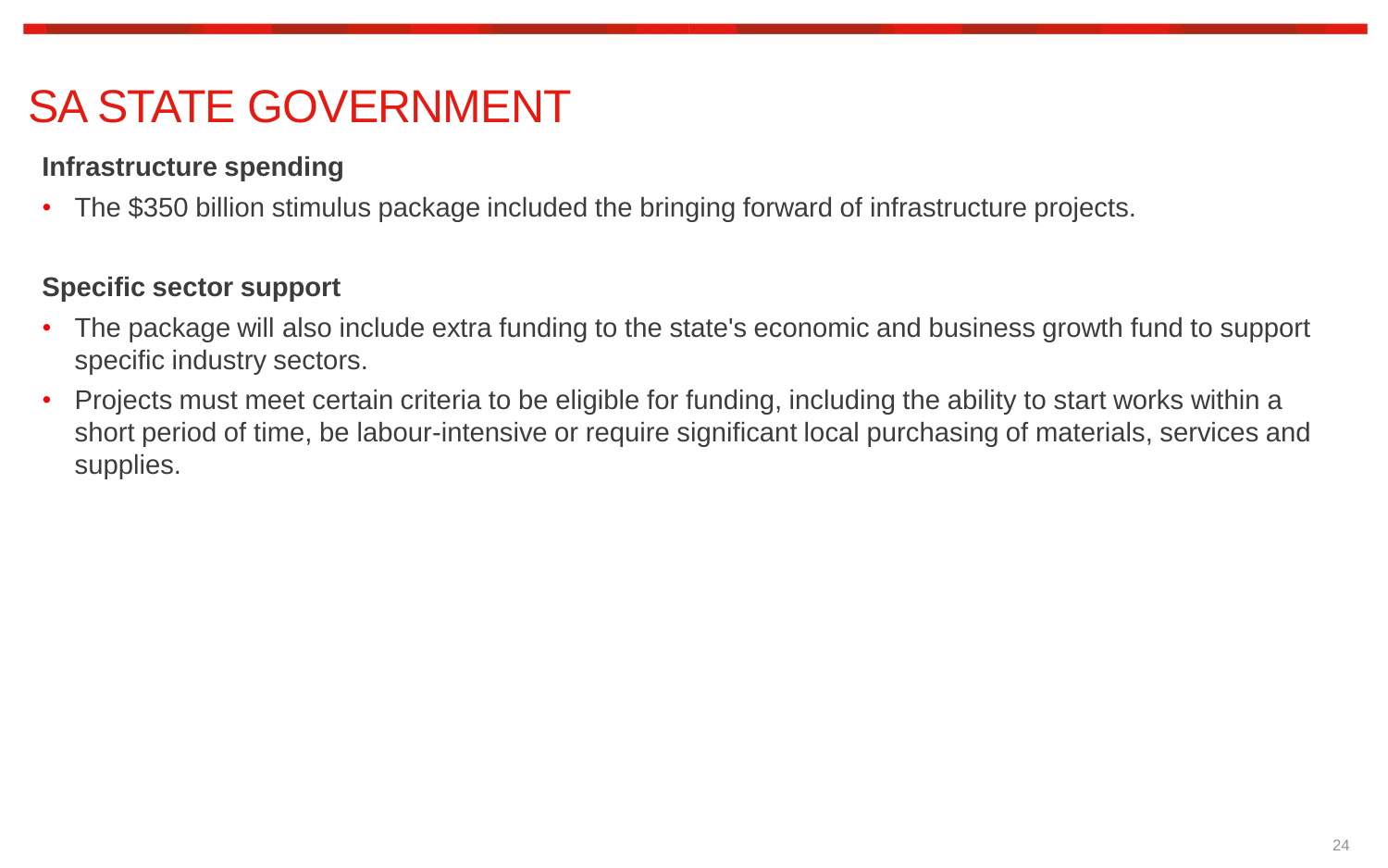# SA STATE GOVERNMENT

### **Infrastructure spending**

• The \$350 billion stimulus package included the bringing forward of infrastructure projects.

### **Specific sector support**

- The package will also include extra funding to the state's economic and business growth fund to support specific industry sectors.
- Projects must meet certain criteria to be eligible for funding, including the ability to start works within a short period of time, be labour-intensive or require significant local purchasing of materials, services and supplies.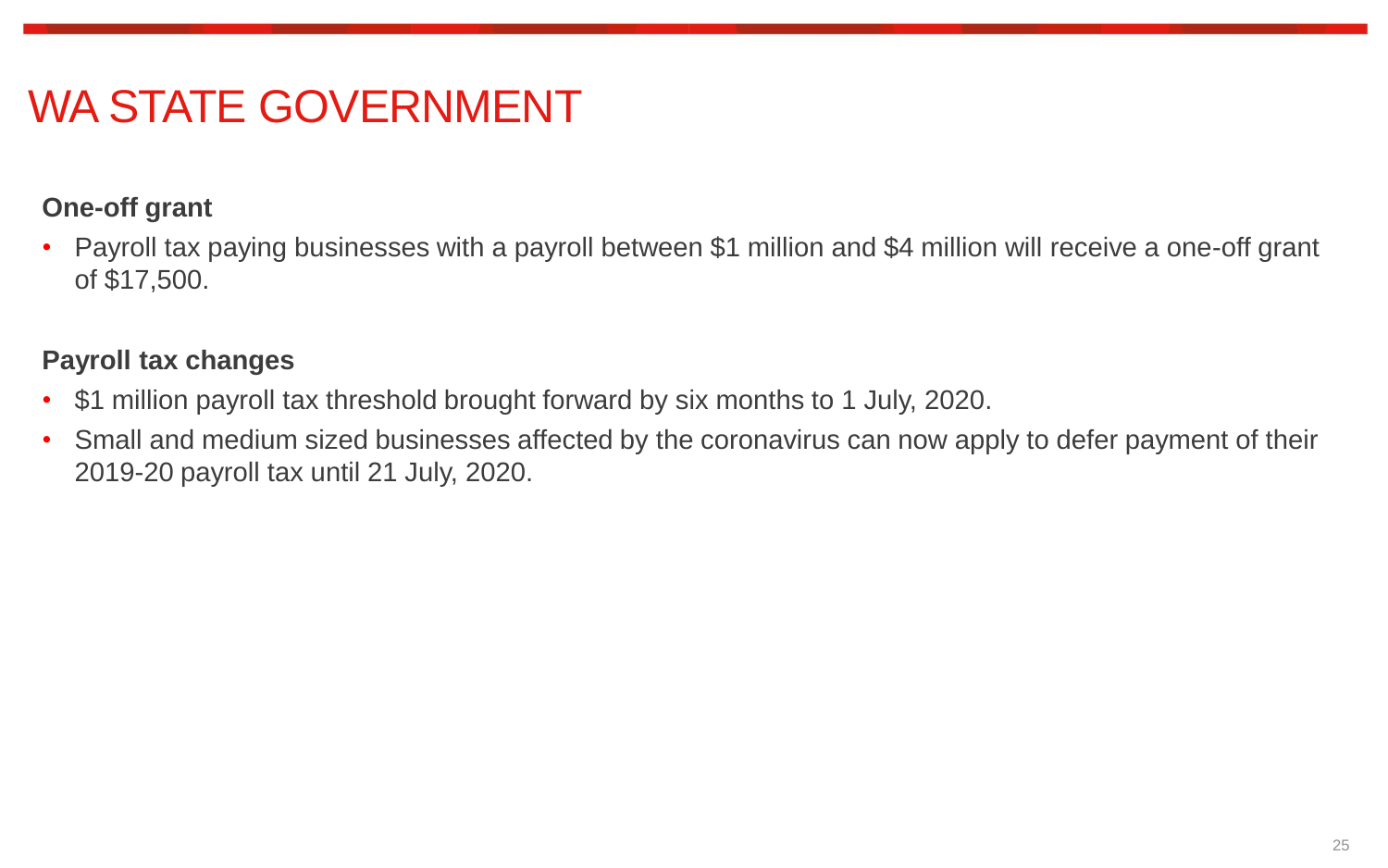# WA STATE GOVERNMENT

### **One-off grant**

• Payroll tax paying businesses with a payroll between \$1 million and \$4 million will receive a one-off grant of \$17,500.

#### **Payroll tax changes**

- \$1 million payroll tax threshold brought forward by six months to 1 July, 2020.
- Small and medium sized businesses affected by the coronavirus can now apply to defer payment of their 2019-20 payroll tax until 21 July, 2020.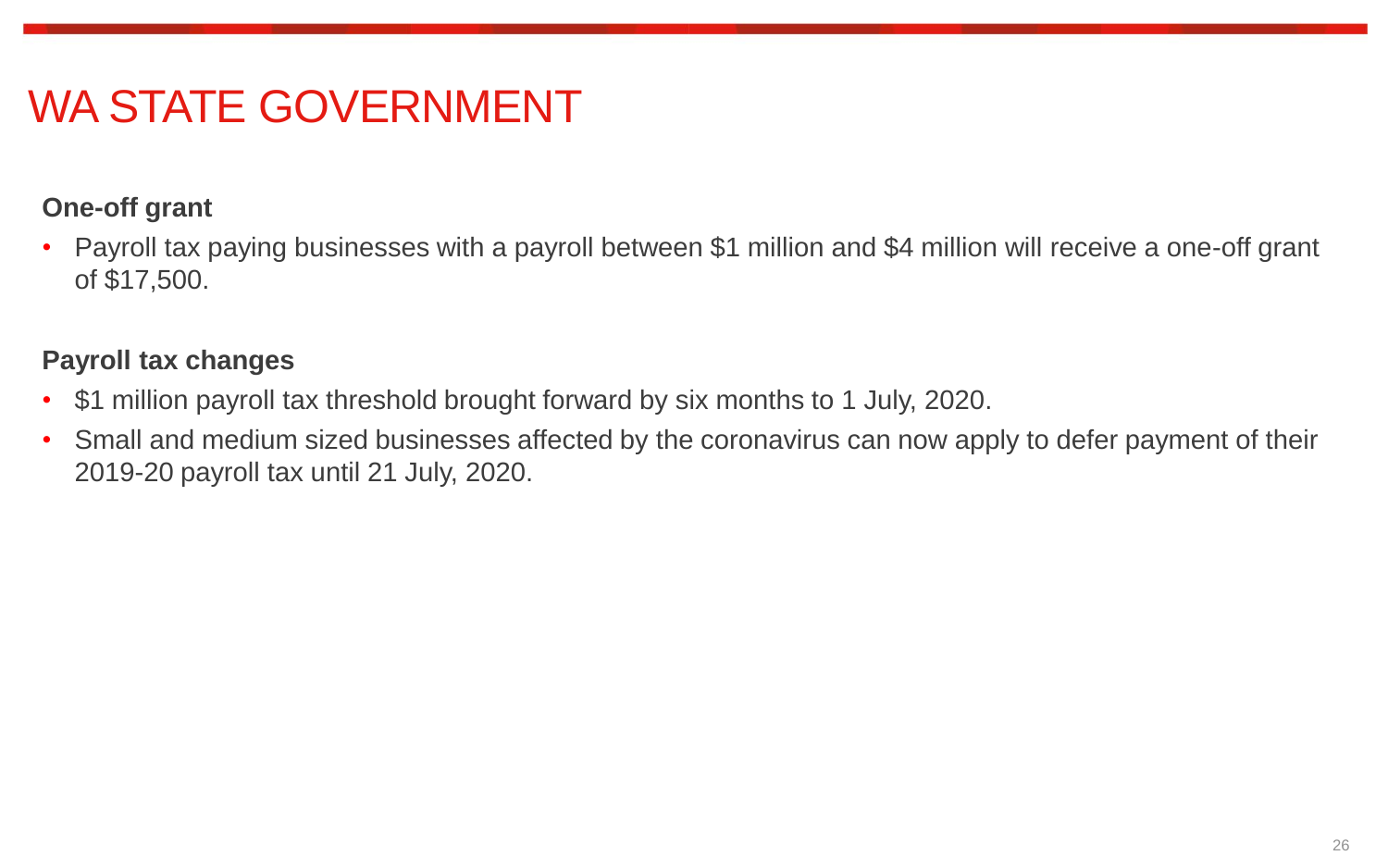# WA STATE GOVERNMENT

### **One-off grant**

• Payroll tax paying businesses with a payroll between \$1 million and \$4 million will receive a one-off grant of \$17,500.

#### **Payroll tax changes**

- \$1 million payroll tax threshold brought forward by six months to 1 July, 2020.
- Small and medium sized businesses affected by the coronavirus can now apply to defer payment of their 2019-20 payroll tax until 21 July, 2020.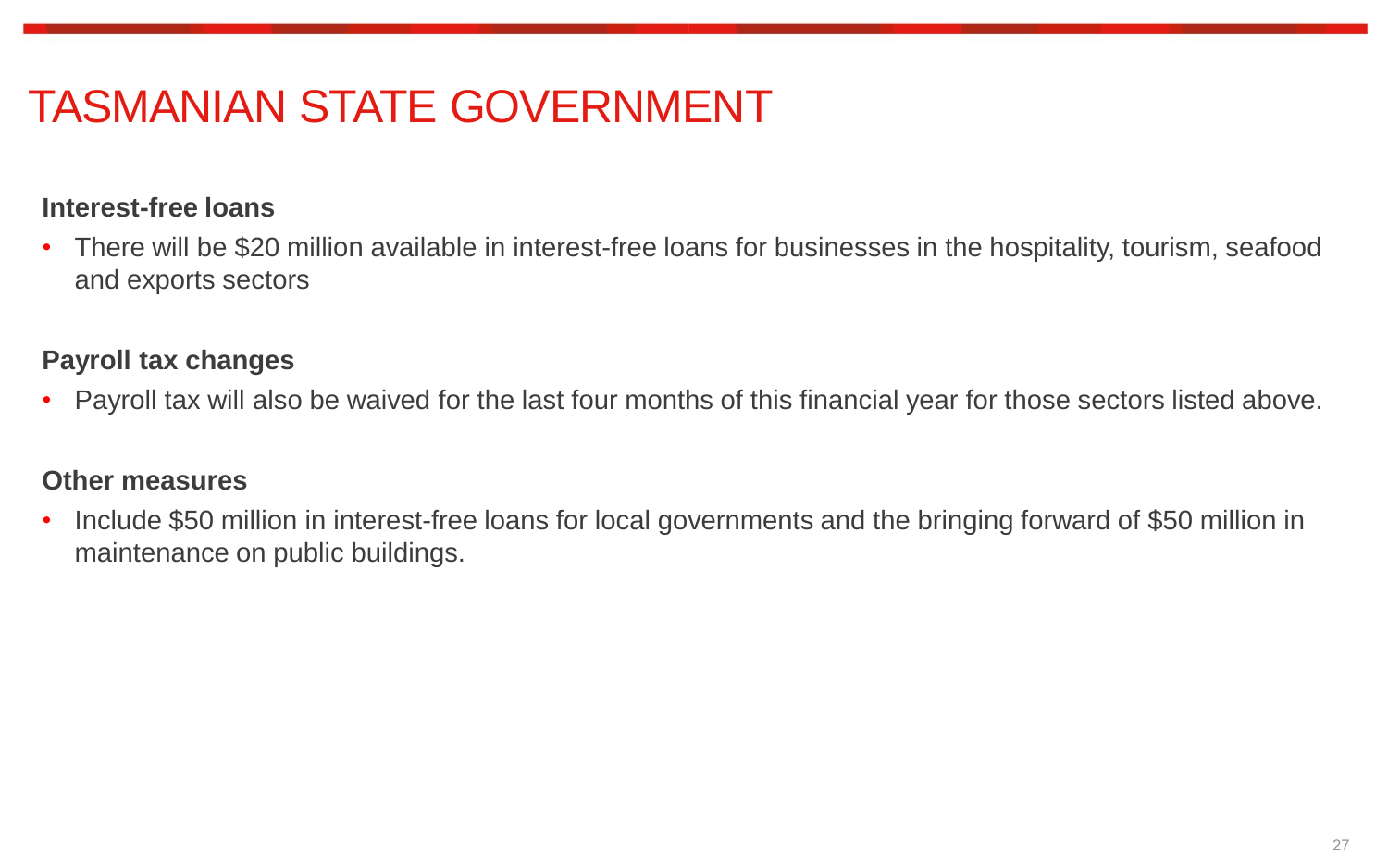# TASMANIAN STATE GOVERNMENT

#### **Interest-free loans**

• There will be \$20 million available in interest-free loans for businesses in the hospitality, tourism, seafood and exports sectors

### **Payroll tax changes**

• Payroll tax will also be waived for the last four months of this financial year for those sectors listed above.

#### **Other measures**

• Include \$50 million in interest-free loans for local governments and the bringing forward of \$50 million in maintenance on public buildings.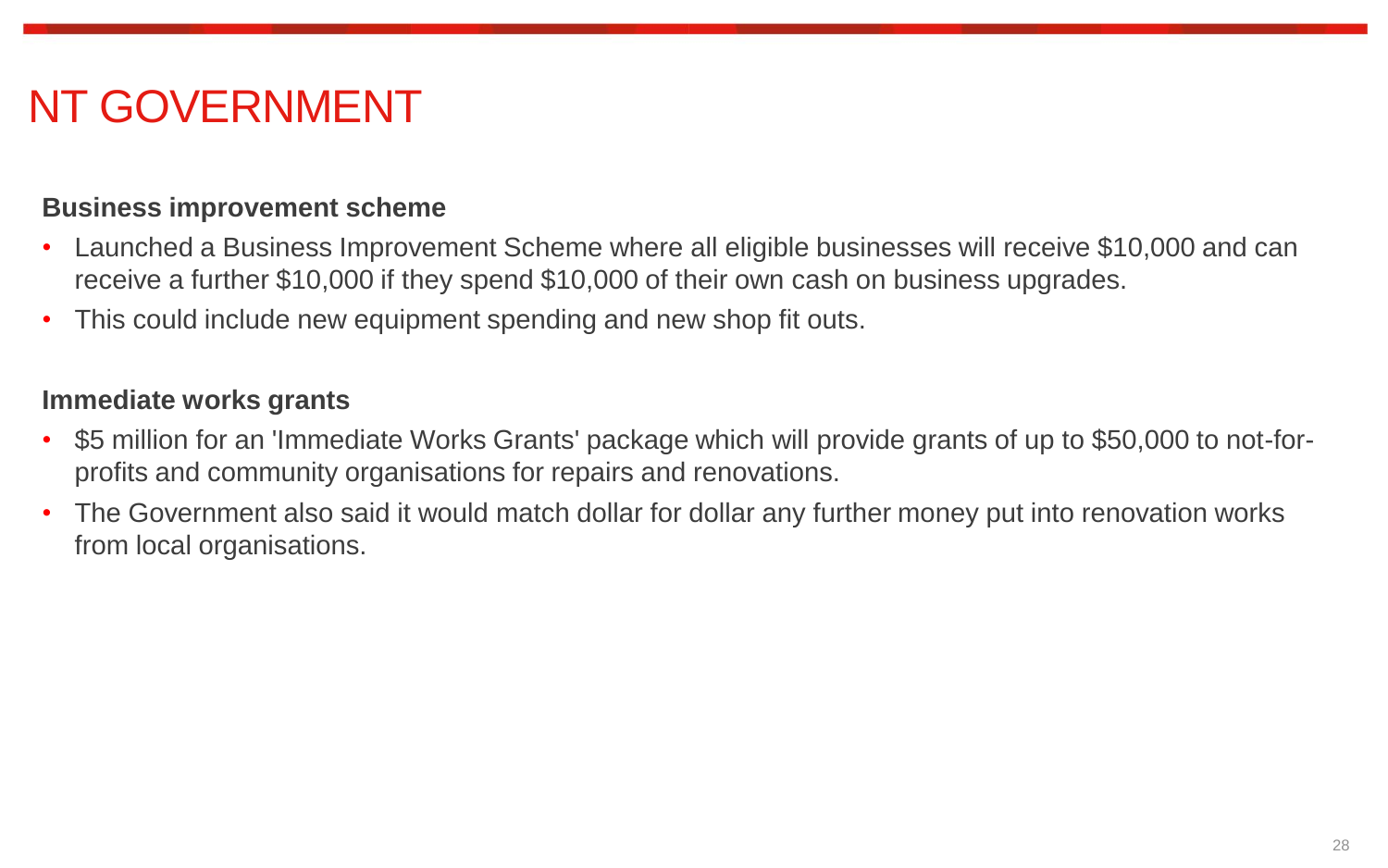# NT GOVERNMENT

#### **Business improvement scheme**

- Launched a Business Improvement Scheme where all eligible businesses will receive \$10,000 and can receive a further \$10,000 if they spend \$10,000 of their own cash on business upgrades.
- This could include new equipment spending and new shop fit outs.

#### **Immediate works grants**

- \$5 million for an 'Immediate Works Grants' package which will provide grants of up to \$50,000 to not-forprofits and community organisations for repairs and renovations.
- The Government also said it would match dollar for dollar any further money put into renovation works from local organisations.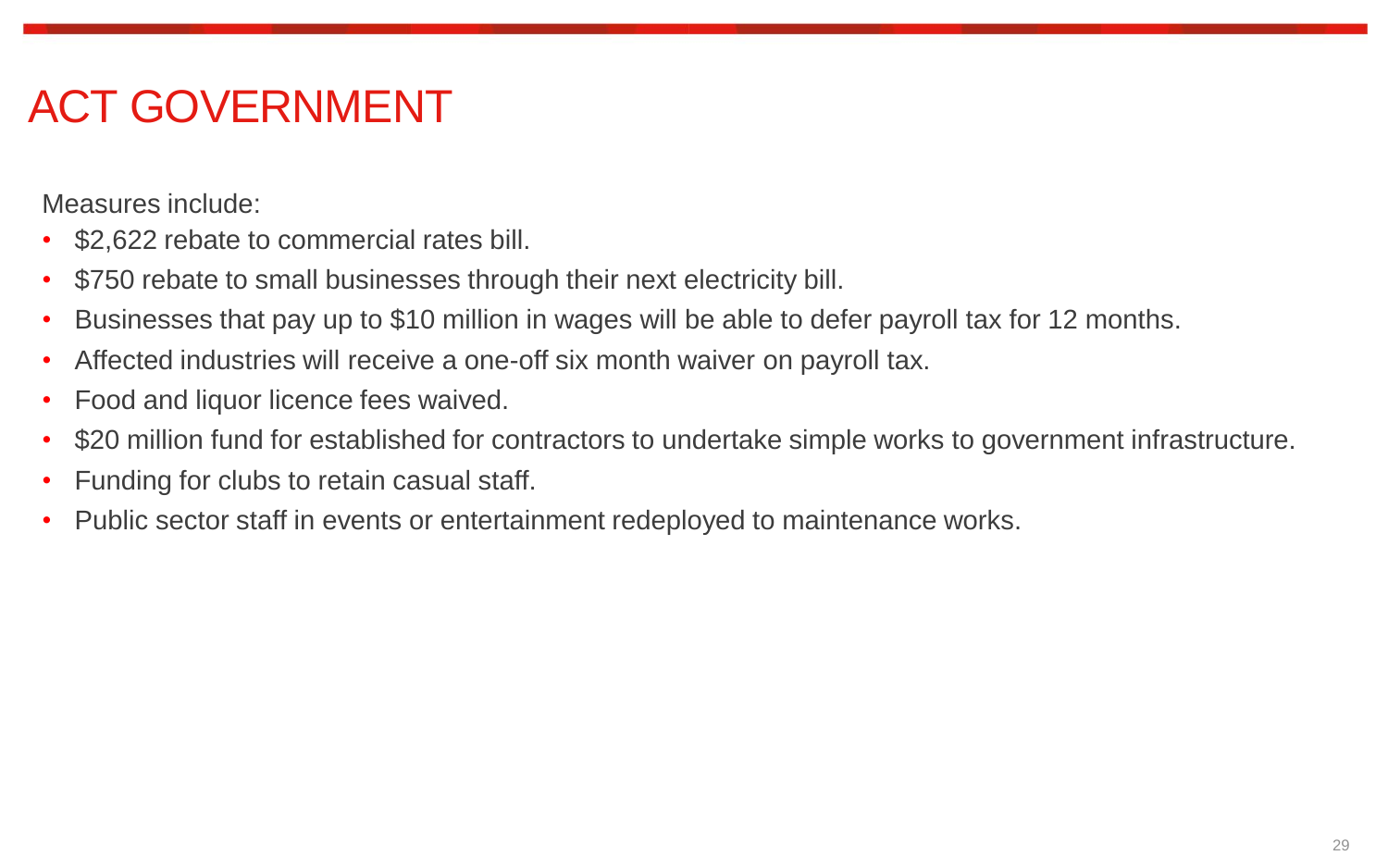# ACT GOVERNMENT

Measures include:

- \$2,622 rebate to commercial rates bill.
- \$750 rebate to small businesses through their next electricity bill.
- Businesses that pay up to \$10 million in wages will be able to defer payroll tax for 12 months.
- Affected industries will receive a one-off six month waiver on payroll tax.
- Food and liquor licence fees waived.
- \$20 million fund for established for contractors to undertake simple works to government infrastructure.
- Funding for clubs to retain casual staff.
- Public sector staff in events or entertainment redeployed to maintenance works.